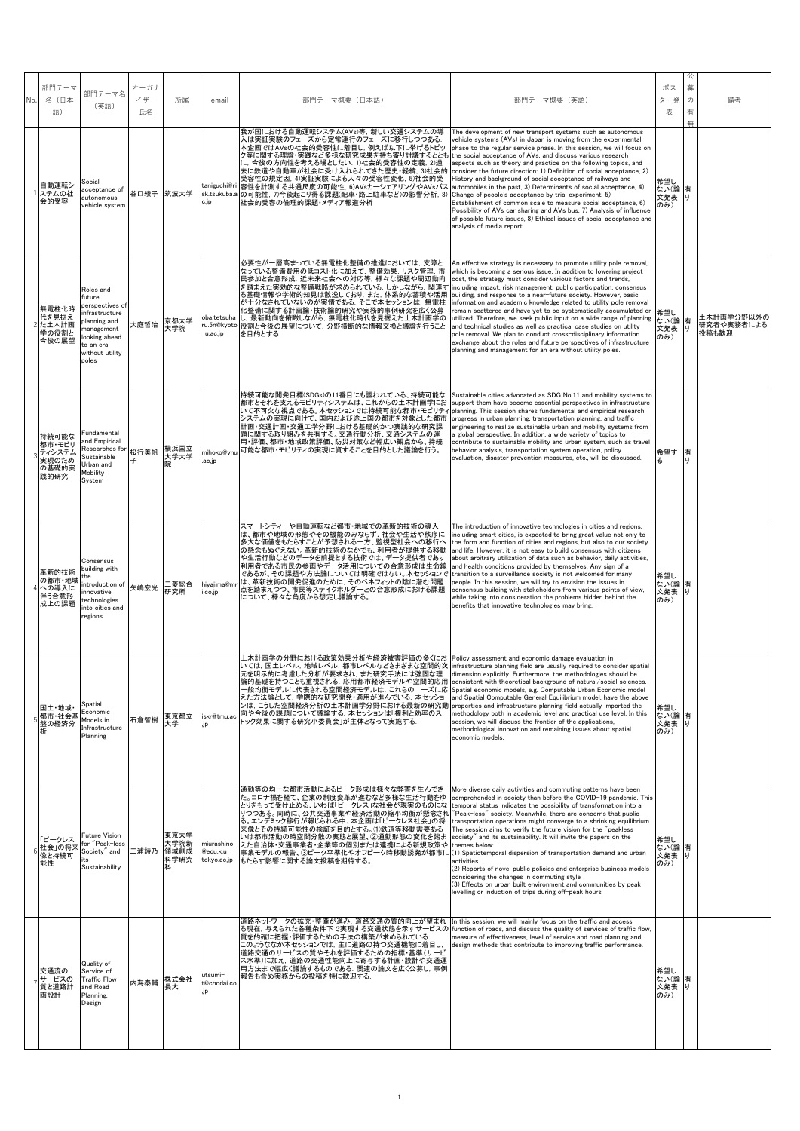| No. | 部門テーマ<br>名(日本<br>語)                                 | 部門テーマ名<br>(英語)                                                                                                                                   | オーガナ<br>イザー<br>氏名 | 所属                           | email                                  | 部門テーマ概要(日本語)                                                                                                                                                                                                                                                                                                                                                                                                                                                                                  | 部門テーマ概要 (英語)                                                                                                                                                                                                                                                                                                                                                                                                                                                                                                                                                                                                                                                                                                                                                                                                                                       | ポス<br>ター発<br>表               | 公<br>募<br>の<br>有<br>無 | 備考                                |
|-----|-----------------------------------------------------|--------------------------------------------------------------------------------------------------------------------------------------------------|-------------------|------------------------------|----------------------------------------|-----------------------------------------------------------------------------------------------------------------------------------------------------------------------------------------------------------------------------------------------------------------------------------------------------------------------------------------------------------------------------------------------------------------------------------------------------------------------------------------------|----------------------------------------------------------------------------------------------------------------------------------------------------------------------------------------------------------------------------------------------------------------------------------------------------------------------------------------------------------------------------------------------------------------------------------------------------------------------------------------------------------------------------------------------------------------------------------------------------------------------------------------------------------------------------------------------------------------------------------------------------------------------------------------------------------------------------------------------------|------------------------------|-----------------------|-----------------------------------|
|     | 自動運転シ<br>ステムの社<br>会的受容                              | Social<br>cceptance of<br>autonomous<br>vehicle system                                                                                           | 谷口綾子 筑波大学         |                              | taniguchi@ri<br>sk.tsukuba.a<br>c.jp   | 我が国における自動運転システム(AVs)等, 新しい交通システムの導<br>入は実証実験のフェーズから定常運行のフェーズに移行しつつある.<br>本企画ではAVsの社会的受容性に着目し、例えば以下に挙げるトピッ<br>ク等に関する理論・実践など多様な研究成果を持ち寄り討議するととも the social acceptance of AVs, and discuss various research<br>に、今後の方向性を考える場としたい. 1)社会的受容性の定義, 2)過<br>去に鉄道や自動車が社会に受け入れられてきた歴史・経緯, 3)社会的<br>受容性の規定因, 4)実証実験による人々の受容性変化, 5)社会的受<br>容性を計測する共通尺度の可能性, 6)AVsカーシェアリングやAVsバス<br>の可能性, 7)今後起こり得る課題(配車・路上駐車など)の影響分析, 8)<br>社会的受容の倫理的課題・メディア報道分析                                                           | The development of new transport systems such as autonomous<br>vehicle systems (AVs) in Japan is moving from the experimental<br>phase to the regular service phase. In this session, we will focus on<br>aspects such as theory and practice on the following topics, and<br>consider the future direction: 1) Definition of social acceptance, 2)<br>History and background of social acceptance of railways and<br>automobiles in the past, 3) Determinants of social acceptance, 4)<br>Change of people's acceptance by trial experiment, 5)<br>Establishment of common scale to measure social acceptance, 6)<br>Possibility of AVs car sharing and AVs bus, 7) Analysis of influence<br>of possible future issues, 8) Ethical issues of social acceptance and<br>analysis of media report                                                    | 希望し<br>ない(論 有<br>文発表<br>のみ)  | Ιu                    |                                   |
|     | 無電柱化時<br>代を見据え<br>た土木計画<br>学の役割と<br>今後の展望           | Roles and<br>future<br>perspectives of<br>infrastructure<br>planning and<br>management<br>looking ahead<br>to an era<br>without utility<br>poles | 大庭哲治              | 京都大学<br>大学院                  | oba.tetsuha<br>-u.ac.jp                | 必要性が一層高まっている無電柱化整備の推進においては、支障と<br>なっている整備費用の低コスト化に加えて、整備効果, リスク管理, 市<br>民参加と合意形成,近未来社会への対応等,様々な課題や周辺動向<br>を踏まえた実効的な整備戦略が求められている。しかしながら、関連す<br>る基礎情報や学術的知見は散逸しており、また、体系的な蓄積や活用<br>が十分なされていないのが実情である. そこで本セッションは, 無電柱<br>化整備に関する計画論・技術論的研究や実務的事例研究を広く公募<br>し、最新動向を俯瞰しながら、無電柱化時代を見据えた土木計画学の<br>ru.5n@kyoto 役割と今後の展望について,分野横断的な情報交換と議論を行うこと<br>を目的とする.                                                                                                                                            | An effective strategy is necessary to promote utility pole removal.<br>which is becoming a serious issue. In addition to lowering project<br>cost, the strategy must consider various factors and trends,<br>including impact, risk management, public participation, consensus<br>building, and response to a near-future society. However, basic<br>information and academic knowledge related to utility pole removal<br>remain scattered and have yet to be systematically accumulated or<br>utilized. Therefore, we seek public input on a wide range of planning<br>and technical studies as well as practical case studies on utility<br>pole removal. We plan to conduct cross-disciplinary information<br>exchange about the roles and future perspectives of infrastructure<br>planning and management for an era without utility poles. | 希望し<br>ない(論<br>文発表<br>のみ)    | 有                     | 土木計画学分野以外の<br>研究者や実務者による<br>投稿も歓迎 |
|     | 持続可能な<br>都市・モビリ<br>ティシステム<br>実現のため<br>の基礎的実<br>践的研究 | Fundamental<br>and Empirical<br>Researches for<br>Sustainable<br>Urban and<br>Mobility<br>System                                                 | 松行美帆<br>子         | 横浜国立<br>大学大学<br>院            | mihoko@ynı<br>.ac.jp                   | 持続可能な開発目標(SDGs)の11番目にも謳われている、持続可能な<br>都市とそれを支えるモビリティシステムは、これからの土木計画学にお<br>いて不可欠な視点である。本セッションでは持続可能な都市・モビリティ<br>システムの実現に向けて、国内および途上国の都市を対象とした都市<br>計画・交通計画・交通工学分野における基礎的かつ実践的な研究課<br>題に関する取り組みを共有する。交通行動分析、交通システムの運<br>用・評価、都市・地域政策評価、防災対策など幅広い観点から、持続<br>可能な都市・モビリティの実現に資することを目的とした議論を行う。                                                                                                                                                                                                     | Sustainable cities advocated as SDG No.11 and mobility systems to<br>support them have become essential perspectives in infrastructure<br>planning. This session shares fundamental and empirical research<br>progress in urban planning, transportation planning, and traffic<br>engineering to realize sustainable urban and mobility systems from<br>a global perspective. In addition, a wide variety of topics to<br>contribute to sustainable mobility and urban system, such as travel<br>behavior analysis, transportation system operation, policy<br>evaluation, disaster prevention measures, etc., will be discussed.                                                                                                                                                                                                                  | 希望す<br>る                     | 有                     |                                   |
|     | 革新的技術<br>の都市・地域<br>への導入に<br>伴う合意形<br>成上の課題          | Consensus<br>building with<br>introduction of<br>innovative<br>technologies<br>into cities and<br>regions                                        | 矢嶋宏光              | 三菱総合<br>研究所                  | hiyajima@mı<br>i.co.jp                 | スマートシティーや自動運転など都市・地域での革新的技術の導入<br>は、都市や地域の形態やその機能のみならず、社会や生活や秩序に<br>多大な価値をもたらすことが予想される一方、監視型社会への移行へ<br>の懸念もぬぐえない。革新的技術のなかでも、利用者が提供する移動<br>や生活行動などのデータを前提とする技術では、データ提供者であり<br>利用者である市民の参画やデータ活用についての合意形成は生命線<br>であるが、その課題や方法論については明確ではない。 本セッションで<br>は、革新技術の開発促進のために,そのベネフィットの陰に潜む問題<br>点を踏まえつつ、市民等ステイクホルダーとの合意形成における課題<br>について、様々な角度から想定し議論する。                                                                                                                                                | The introduction of innovative technologies in cities and regions,<br>including smart cities, is expected to bring great value not only to<br>the form and function of cities and regions, but also to our society<br>and life. However, it is not easy to build consensus with citizens<br>about arbitrary utilization of data such as behavior, daily activities,<br>and health conditions provided by themselves. Any sign of a<br>transition to a surveillance society is not welcomed for many<br>people. In this session, we will try to envision the issues in<br>consensus building with stakeholders from various points of view,<br>while taking into consideration the problems hidden behind the<br>benefits that innovative technologies may bring.                                                                                   | 希望し<br>ない(論有<br>文発表<br>のみ)   | IJ                    |                                   |
|     | 国土·地域·<br>都市·社会基<br>盤の経済分<br>析                      | Spatial<br>Economic<br>Models in<br>Infrastructure<br>Planning                                                                                   | 石倉智樹              | 東京都立<br>大学                   | iskr@tmu.ac<br>ip.                     | 土木計画学の分野における政策効果分析や経済被害評価の多くにお Policy assessment and economic damage evaluation in<br>いては、国土レベル、地域レベル、都市レベルなどさまざまな空間的次  infrastructure planning field are usually required to consider spatial<br>にを明示旳に考慮した分析が要求され,また研究手法には強固な理<br>、、はササナサー・・・・・・・・・・・・・・・・・・・・・・・・・・・・・<br> 論的基礎を持つことも重視される. 応用都市経済モデルや空間的応用<br>-般均衡モデルに代表される空間経済モデルは,これらのニーズに応<br>えた方法論として,学際的な研究開発・適用が進んでいる. 本セッショ<br>ンは,こうした空間経済分析の土木計画学分野における最新の研究動<br>向や今後の課題について議論する. 本セッションは「権利と効率のス<br>トック効果に関する研究小委員会」が主体となって実施する. | limension explicitly. Furthermore, the methodologies should be<br>consistent with theoretical background of natural/social sciences.<br>Spatial economic models, e.g. Computable Urban Economic model<br>and Spatial Computable General Equilibrium model, have the above<br>properties and infrastructure planning field actually imported the<br>methodology both in academic level and practical use level. In this<br>session, we will discuss the frontier of the applications,<br>methodological innovation and remaining issues about spatial<br>economic models.                                                                                                                                                                                                                                                                           | 希望し<br>ない(論 有<br>文発表<br>のみ)  |                       |                                   |
|     | 「ピークレス<br>社会」の将来<br>像と持続可<br>能性                     | Future Vision<br>for "Peak-less<br>Society" and<br>Sustainability                                                                                | 三浦詩乃              | 東京大学<br>大学院新<br>領域創成<br>科学研究 | miurashino<br>@edu.k.u-<br>tokyo.ac.jp | 通勤等の均一な都市活動によるピーク形成は様々な弊害を生んでき<br>た。コロナ禍を経て、企業の制度変革が進むなど多様な生活行動をゆ<br>とりをもって受け止める、いわば「ピークレス」な社会が現実のものにな<br>りつつある。同時に、公共交通事業や経済活動の縮小均衡が懸念され<br>る。エンデミック移行が報じられる中、本企画は「ピークレス社会」の将<br>来像とその持続可能性の検証を目的とする。①鉄道等移動需要ある<br>いは都市活動の時空間分散の実態と展望、②通勤形態の変化を踏ま<br>えた自治体・交通事業者・企業等の個別または連携による新規政策や<br> 事業モデルの報告、③ピーク平準化やオフピーク時移動誘発が都市に (1) Spatiotemporal dispersion of transportation demand and urban<br>もたらす影響に関する論文投稿を期待する。                                                                            | More diverse daily activities and commuting patterns have been<br>comprehended in society than before the COVID-19 pandemic. This<br>temporal status indicates the possibility of transformation into a<br>"Peak-less" society. Meanwhile, there are concerns that public<br>transportation operations might converge to a shrinking equilibrium.<br>The session aims to verify the future vision for the "peakless"<br>society" and its sustainability. It will invite the papers on the<br>themes below:<br>activities<br>(2) Reports of novel public policies and enterprise business models<br>considering the changes in commuting style<br>(3) Effects on urban built environment and communities by peak<br>levelling or induction of trips during off-peak hours                                                                           | 希望し<br>ない(論 有<br>文発表<br>のみ)  | Ιu                    |                                   |
|     | 交通流の<br>サービスの<br>質と道路計<br>画設計                       | Quality of<br>Service of<br><b>Traffic Flow</b><br>and Road<br>Planning,<br>Design                                                               | 内海泰輔              | 株式会社<br>長大                   | utsumi–<br>t@chodai.co<br>.ip          | 道路ネットワークの拡充・整備が進み、道路交通の質的向上が望まれ<br>る現在,与えられた各種条件下で実現する交通状態を示すサービスの<br>質を的確に把握・評価するための手法の構築が求められている.<br>このようななか本セッションでは、主に道路の持つ交通機能に着目し、<br>道路交通のサービスの質やそれを評価するための指標・基準(サービ<br>ス水準)に加え, 道路の交通性能向上に寄与する計画・設計や交通運<br>用方法まで幅広く議論するものである. 関連の論文を広く公募し, 事例<br>報告も含め実務からの投稿を特に歓迎する.                                                                                                                                                                                                                  | In this session, we will mainly focus on the traffic and access<br>function of roads, and discuss the quality of services of traffic flow,<br>measure of effectiveness, level of service and road planning and<br>design methods that contribute to improving traffic performance.                                                                                                                                                                                                                                                                                                                                                                                                                                                                                                                                                                 | 希望し<br>ない(論有<br>文発表 り<br>のみ) |                       |                                   |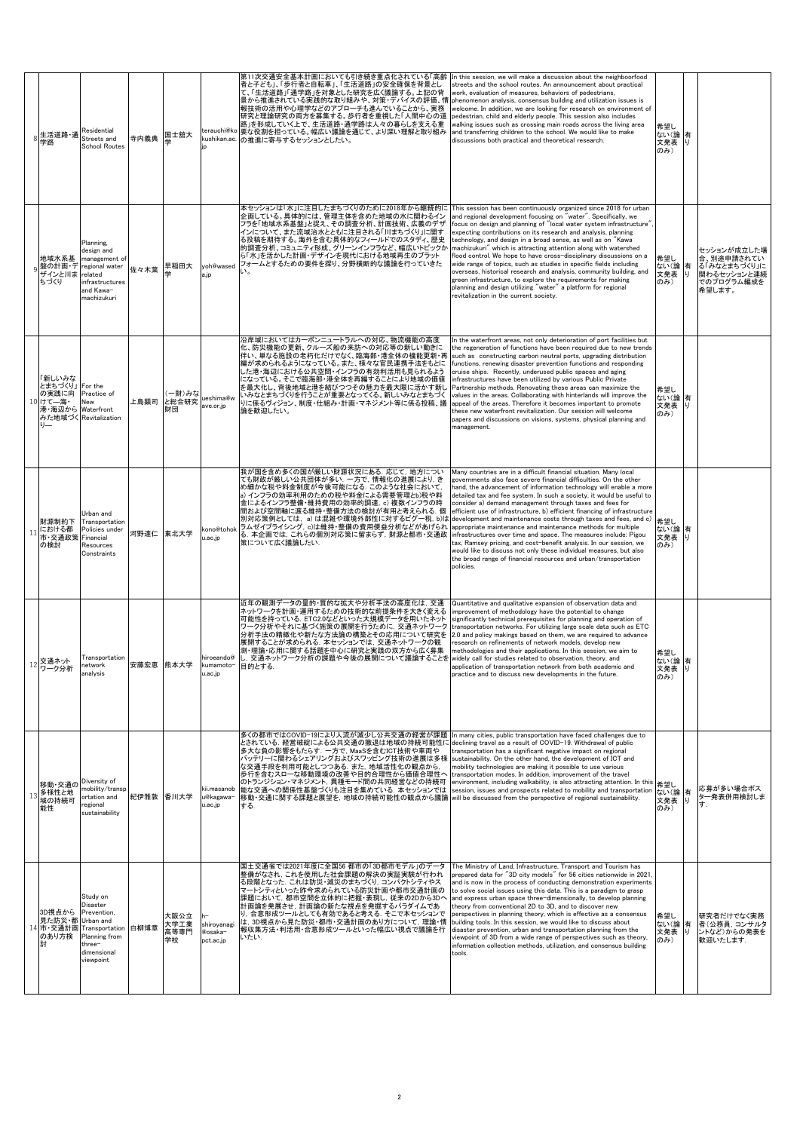|    | 生活道路·通<br>学路                                     | Residential<br>Streets and<br><b>School Routes</b>                                                                     | 寺内義典      | 国士舘大                       | terauchi@ko<br>kushikan.ac.<br>in         | 第11次交通安全基本計画においても引き続き重点化されている「高齢<br>者と子ども」、「歩行者と自転車」、「生活道路」の安全確保を背景とし<br>て、「生活道路」「通学路」を対象とした研究を広く議論する。上記の背<br>景から推進されている実践的な取り組みや、対策・デバイスの評価、情  phenomenon analysis, consensus building and utilization issues is<br>報技術の活用や心理学などのアプローチも進んでいることから、実務<br>研究と理論研究の両方を募集する。歩行者を重視した「人間中心の道<br>路」を形成していく上で、生活道路・通学路は人々の暮らしを支える重<br>要な役割を担っている。幅広い議論を通じて、より深い理解と取り組み<br>の推進に寄与するセッションとしたい。                            | In this session, we will make a discussion about the neighboorfood<br>streets and the school routes. An announcement about practical<br>work, evaluation of measures, behaviors of pedestrians,<br>welcome. In addition, we are looking for research on environment of<br>pedestrian, child and elderly people. This session also includes<br>walking issues such as crossing main roads across the living area<br>and transferring children to the school. We would like to make<br>discussions both practical and theoretical research.                                                                                                                                                                                                                                                                                                                          | 希望し<br>ない(論<br>文発表<br>のみ) | 有<br>L)  |                                                                                  |
|----|--------------------------------------------------|------------------------------------------------------------------------------------------------------------------------|-----------|----------------------------|-------------------------------------------|------------------------------------------------------------------------------------------------------------------------------------------------------------------------------------------------------------------------------------------------------------------------------------------------------------------------------------------------------------------------------------------------------------------|--------------------------------------------------------------------------------------------------------------------------------------------------------------------------------------------------------------------------------------------------------------------------------------------------------------------------------------------------------------------------------------------------------------------------------------------------------------------------------------------------------------------------------------------------------------------------------------------------------------------------------------------------------------------------------------------------------------------------------------------------------------------------------------------------------------------------------------------------------------------|---------------------------|----------|----------------------------------------------------------------------------------|
|    | 地域水系基<br>盤の計画・デ<br>ザインと川ま<br>ちづくり                | Planning,<br>design and<br>management of<br>regional water<br>related<br>infrastructures<br>and Kawa-<br>machizukuri   | 佐々木葉      | 早稲田大                       | yoh@wased<br>a.jp                         | 本セッションは「水」に注目したまちづくりのために2018年から継続的に<br>企画している。具体的には、管理主体を含めた地域の水に関わるイン<br>フラを「地域水系基盤」と捉え、その調査分析、計画技術、広義のデザ<br>インについて、また流域治水とともに注目される「川まちづくり」に関す<br>る投稿を期待する。海外を含む具体的なフィールドでのスタディ、歴史<br>的調査分析、コミュニティ形成、グリーンインフラなど、幅広いトピックか<br>ら「水」を活かした計画・デザインを現代における地域再生のプラット<br>フォームとするための要件を探り、分野横断的な議論を行っていきた<br>L١.                                                                                                          | This session has been continuously organized since 2018 for urban<br>and regional development focusing on "water". Specifically, we<br>focus on design and planning of "local water system infrastructure"<br>expecting contributions on its research and analysis, planning<br>technology, and design in a broad sense, as well as on "Kawa<br>machizukuri" which is attracting attention along with watershed<br>flood control. We hope to have cross-disciplinary discussions on a<br>wide range of topics, such as studies in specific fields including<br>overseas, historical research and analysis, community building, and<br>green infrastructure, to explore the requirements for making<br>planning and design utilizing "water" a platform for regional<br>revitalization in the current society.                                                      | 希望し<br>ない(論<br>文発表<br>のみ) | 有<br>LJ. | セッションが成立した場<br>合、別途申請されてい<br>る「みなとまちづくり」に<br>関わるセッションと連続<br>でのプログラム編成を<br>希望します。 |
|    | 新しいみな<br>とまちづくり」<br>の実践に向<br>10 けて––海·<br>港・海辺から | For the<br>Practice of<br>New<br>Waterfront<br>みた地域づく Revitalization                                                   | 上島顕司      | 一財)みな<br>と総合研究<br>財団       | ueshima@w<br>ave.or.jp                    | 沿岸域においてはカーボンニュートラルへの対応、物流機能の高度<br>化、防災機能の更新、クルーズ船の来訪への対応等の新しい動きに<br>伴い、単なる施設の老朽化だけでなく、臨海部・港全体の機能更新・再<br>編が求められるようになっている。また、様々な官民連携手法をもとに<br>した港・海辺における公共空間・インフラの有効利活用も見られるよう<br>になっている。そこで臨海部・港全体を再編することにより地域の価値<br>を最大化し、背後地域と港を結びつつその魅力を最大限に活かす新し<br>いみなとまちづくりを行うことが重要となってくる。新しいみなとまちづく<br>りに係るヴィジョン、制度・仕組み・計画・マネジメント等に係る投稿、議<br>論を歓迎したい。                                                                      | In the waterfront areas, not only deterioration of port facilities but<br>the regeneration of functions have been required due to new trends<br>such as constructing carbon neutral ports, upgrading distribution<br>functions, renewing disaster prevention functions and responding<br>cruise ships. Recently, underused public spaces and aging<br>infrastructures have been utilized by various Public Private<br>Partnership methods. Renovating these areas can maximize the<br>values in the areas. Collaborating with hinterlands will improve the<br>appeal of the areas. Therefore it becomes important to promote<br>these new waterfront revitalization. Our session will welcome<br>papers and discussions on visions, systems, physical planning and<br>management.                                                                                  | 希望し<br>ない(論<br>文発表<br>のみ) | 有<br>IJ  |                                                                                  |
| 11 | 財源制約下<br>こおける都<br>市·交通政策<br>の検討                  | Urban and<br>Transportation<br>Policies under<br>Financial<br>Resources<br>Constraints                                 | 河野達仁 東北大学 |                            | kono@tohok<br>u.ac.jp                     | 我が国を含め多くの国が厳しい財源状況にある. 応じて, 地方につい<br>ても財政が厳しい公共団体が多い. 一方で, 情報化の進展により, き<br>め細かな税や料金制度が今後可能になる。このような社会において、<br>a) インフラの効率利用のための税や料金による需要管理とb)税や料<br>金によるインフラ整備・維持費用の効率的調達, c) 複数インフラの時<br>間および空間軸に渡る維持・整備方法の検討が有用と考えられる. 個<br>別対応策例としては,a)は混雑や環境外部性に対するピグ一税, b)は<br>ラムゼイプライシング, c)は維持·整備の費用便益分析などがあげられ<br>る. 本企画では, これらの個別対応策に留まらず, 財源と都市・交通政<br>策について広く議論したい.                                                    | Many countries are in a difficult financial situation. Many local<br>governments also face severe financial difficulties. On the other<br>hand, the advancement of information technology will enable a more<br>detailed tax and fee system. In such a society, it would be useful to<br>consider a) demand management through taxes and fees for<br>efficient use of infrastructure, b) efficient financing of infrastructure<br>development and maintenance costs through taxes and fees, and c)<br>appropriate maintenance and maintenance methods for multiple<br>infrastructures over time and space. The measures include: Pigou<br>tax, Ramsey pricing, and cost-benefit analysis. In our session, we<br>would like to discuss not only these individual measures, but also<br>the broad range of financial resources and urban/transportation<br>policies. | 希望し<br>ない(論<br>文発表<br>のみ) | 有<br>IJ  |                                                                                  |
| 12 | 交通ネット<br>ワーク分析                                   | Transportation<br>network<br>analysis                                                                                  |           | 安藤宏恵 熊本大学                  | hiroeando@<br>kumamoto- 目的とする.<br>u.ac.jp | 近年の観測データの量的・質的な拡大や分析手法の高度化は、交通<br>ネットワークを計画・運用するための技術的な前提条件を大きく変える<br>可能性を持っている. ETC2.0などといった大規模データを用いたネット<br>ワーク分析やそれに基づく施策の展開を行うために、交通ネットワーク<br>分析手法の精緻化や新たな方法論の構築とその応用について研究を<br>展開することが求められる. 本セッションでは, 交通ネットワークの観<br>測・理論・応用に関する話題を中心に研究と実践の双方から広く募集<br>し、交通ネットワーク分析の課題や今後の展開について議論することを widely call for studies related to observation, theory, and                                                        | Quantitative and qualitative expansion of observation data and<br>mprovement of methodology have the potential to change<br>significantly technical prerequisites for planning and operation of<br>transportation networks. For utilizing large scale data such as ETC<br>2.0 and policy makings based on them, we are required to advance<br>research on refinements of network models, develop new<br>methodologies and their applications. In this session, we aim to<br>application of transportation network from both academic and<br>practice and to discuss new developments in the future.                                                                                                                                                                                                                                                                | 希望し<br>ない(論<br>文発表<br>のみ) | 有<br>Ù.  |                                                                                  |
|    | 移動・交通の<br>多様性と地<br>13<br>域の持続可<br>能性             | Diversity of<br>mobility/transp<br>ortation and<br>regional<br>sustainability                                          | 紀伊雅敦 香川大学 |                            | kii.masanob<br>u@kagawa-<br>u.ac.jp       | 多くの都市ではCOVID-19により人流が減少し公共交通の経営が課題<br>とされている.経営破綻による公共交通の撤退は地域の持続可能性に<br>多大な負の影響をもたらす. 一方で, MaaSを含むICT技術や車両や<br>バッテリーに関わるシェアリングおよびスワッピング技術の進展は多様<br>な交通手段を利用可能としつつある.また. 地域活性化の観点から.<br>歩行を含むスローな移動環境の改善や目的合理性から価値合理性へ<br>のトランジション・マネジメント、異種モード間の共同経営などの持続可<br>能な交通への関係性基盤づくりも注目を集めている。 本セッションでは<br> 移動・交通に関する課題と展望を, 地域の持続可能性の観点から議論  will be discussed from the perspective of regional sustainability.<br>する. | In many cities, public transportation have faced challenges due to<br>declining travel as a result of COVID-19. Withdrawal of public<br>transportation has a significant negative impact on regional<br>sustainability. On the other hand, the development of ICT and<br>mobility technologies are making it possible to use various<br>transportation modes. In addition, improvement of the travel<br>environment, including walkability, is also attracting attention. In this<br>session, issues and prospects related to mobility and transportation                                                                                                                                                                                                                                                                                                          | 希望し<br>ない(論<br>文発表<br>のみ) | 有<br>IJ  | 応募が多い場合ポス<br>ター発表併用検討しま<br>寸.                                                    |
|    | 3D視点から<br>見た防災·都 Urban and<br>のあり方検<br>討         | Study on<br>Disaster<br>Prevention,<br>14 市·交通計画 Transportation<br>Planning from<br>three-<br>dimensional<br>viewpoint | 白柳博章      | 大阪公立<br>大学工業<br>高等専門<br>学校 | shiroyanagi<br>@osaka-<br>pct.ac.jp       | 国土交通省では2021年度に全国56 都市の「3D都市モデル」のデータ<br>整備がなされ,これを使用した社会課題の解決の実証実験が行われ<br>る段階となった. これは防災・減災のまちづくり, コンパクトシティやス<br>マートシティといった昨今求められている防災計画や都市交通計画の<br>課題において, 都市空間を立体的に把握・表現し, 従来の2Dから3Dへ<br>計画論を発展させ,計画論の新たな視点を発掘するパラダイムであ<br>り,合意形成ツールとしても有効であると考える. そこで本セッションで<br>は, 3D視点から見た防災・都市・交通計画のあり方について, 理論・情<br>報収集方法・利活用・合意形成ツールといった幅広い視点で議論を行<br>いたい                                                                  | The Ministry of Land, Infrastructure, Transport and Tourism has<br>prepared data for "3D city models" for 56 cities nationwide in 2021,<br>and is now in the process of conducting demonstration experiments<br>to solve social issues using this data. This is a paradigm to grasp<br>and express urban space three-dimensionally, to develop planning<br>theory from conventional 2D to 3D, and to discover new<br>perspectives in planning theory, which is effective as a consensus<br>building tools. In this session, we would like to discuss about<br>disaster prevention, urban and transportation planning from the<br>viewpoint of 3D from a wide range of perspectives such as theory,<br>information collection methods, utilization, and consensus building<br>tools.                                                                                | 希望し<br>ない(論<br>文発表<br>のみ) | 有<br>り   | 研究者だけでなく実務<br>者(公務員,コンサルタ<br>ントなど)からの発表を<br>歓迎いたします.                             |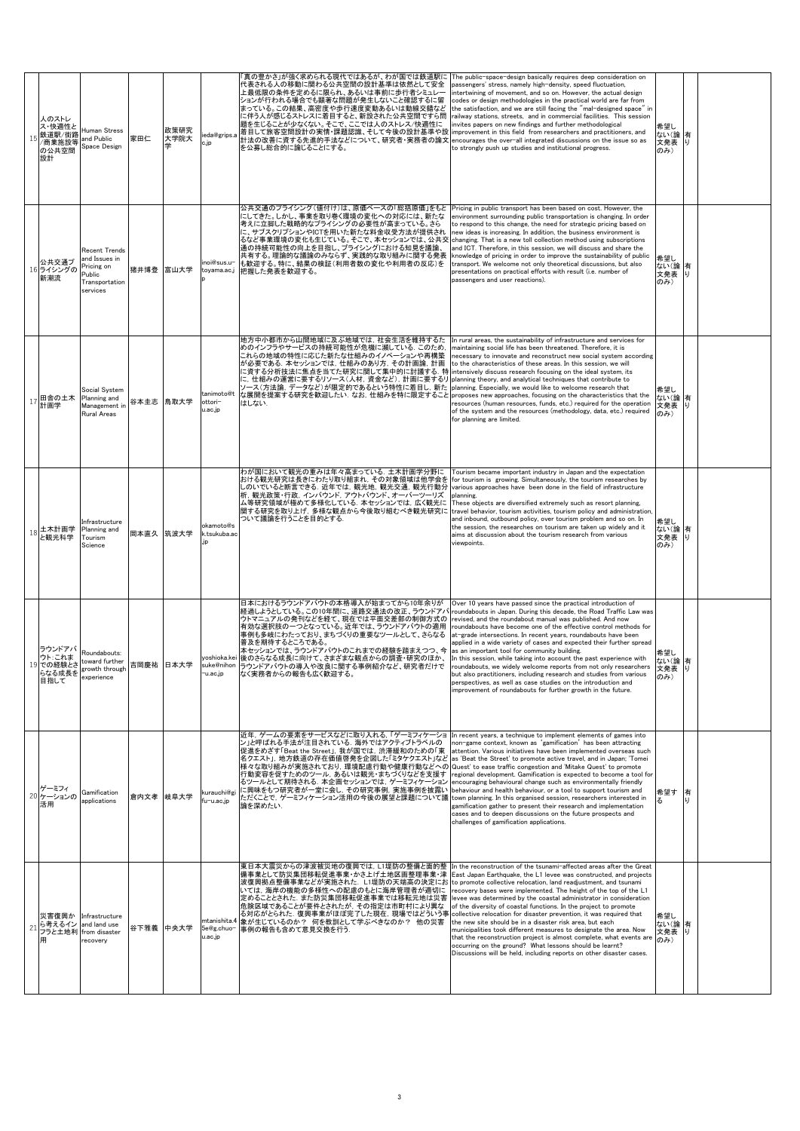| 人のストレ<br>ス・快適性と<br>鉄道駅/街路<br>商業施設等<br>の公共空間<br>設計 | Human Stress<br>and Public<br>Space Design                                                 | 家田仁       | 政策研究<br>大学院大 | ieda@grips.a<br>c.ip             | 「真の豊かさ」が強く求められる現代ではあるが、わが国では鉄道駅に<br>代表される人の移動に関わる公共空間の設計基準は依然として安全<br>上最低限の条件を定めるに限られ、あるいは事前に歩行者シミュレー<br>ションが行われる場合でも顕著な問題が発生しないこと確認するに留<br>まっている。この結果、高密度や歩行速度変動あるいは動線交錯など<br>に伴う人が感じるストレスに着目すると、新設された公共空間ですら問<br>題を生じることが少なくない。そこで、ここでは人のストレス/快適性に<br>着目して旅客空間設計の実情・課題認識、そして今後の設計基準や設<br>計法の改善に資する先進的手法などについて、研究者・実務者の論文<br>を公募し総合的に論じることにする。                                                                                                                                                                                                                        | The public-space-design basically requires deep consideration on<br>passengers' stress, namely high-density, speed fluctuation,<br>intertwining of movement, and so on. However, the actual design<br>codes or design methodologies in the practical world are far from<br>the satisfaction, and we are still facing the "mal-designed space" in<br>railway stations, streets, and in commercial facilities. This session<br>invites papers on new findings and further methodological<br>improvement in this field from researchers and practitioners, and<br>encourages the over-all integrated discussions on the issue so as<br>to strongly push up studies and institutional progress.                                                                                                                       | 希望し<br>ない(論<br>文発表<br>のみ)   | 有<br>Ū. |  |
|---------------------------------------------------|--------------------------------------------------------------------------------------------|-----------|--------------|----------------------------------|------------------------------------------------------------------------------------------------------------------------------------------------------------------------------------------------------------------------------------------------------------------------------------------------------------------------------------------------------------------------------------------------------------------------------------------------------------------------------------------------------------------------------------------------------------------------|-------------------------------------------------------------------------------------------------------------------------------------------------------------------------------------------------------------------------------------------------------------------------------------------------------------------------------------------------------------------------------------------------------------------------------------------------------------------------------------------------------------------------------------------------------------------------------------------------------------------------------------------------------------------------------------------------------------------------------------------------------------------------------------------------------------------|-----------------------------|---------|--|
| 公共交通プ<br>16 ライシングの<br>新潮流                         | <b>Recent Trends</b><br>and Issues in<br>ricing on<br>Public<br>Transportation<br>services | 猪井博登 富山大学 |              | inoi@sus.u-<br>toyama.ac.j       | 公共交通のプライシング(値付け)は、原価ベースの「総括原価」をもと<br>にしてきた。しかし、事業を取り巻く環境の変化への対応には、新たな<br>考えに立脚した戦略的なプライシングの必要性が高まっている。さら<br>に、サブスクリプションやICTを用いた新たな料金収受方法が提供され<br>るなど事業環境の変化も生じている。そこで、本セッションでは、公共交<br>通の持続可能性の向上を目指し、プライシングにおける知見を議論、<br>共有する。理論的な議論のみならず、実践的な取り組みに関する発表<br>も歓迎する。特に、結果の検証(利用者数の変化や利用者の反応)を<br>把握した発表を歓迎する。                                                                                                                                                                                                                                                            | Pricing in public transport has been based on cost. However, the<br>environment surrounding public transportation is changing. In order<br>to respond to this change, the need for strategic pricing based on<br>new ideas is increasing. In addition, the business environment is<br>changing. That is a new toll collection method using subscriptions<br>and ICT. Therefore, in this session, we will discuss and share the<br>knowledge of pricing in order to improve the sustainability of public<br>transport. We welcome not only theoretical discussions, but also<br>presentations on practical efforts with result (i.e. number of<br>passengers and user reactions).                                                                                                                                  | 希望し<br>ない(論<br>文発表<br>のみ)   | 有<br>IJ |  |
| 17 田舎の土木<br>計画学                                   | Social System<br>Planning and<br>Management in<br>Rural Areas                              | 谷本圭志 鳥取大学 |              | tanimoto@t<br>ottori-<br>u.ac.jp | 地方中小都市から山間地域に及ぶ地域では、社会生活を維持するた<br>めのインフラやサービスの持続可能性が危機に瀕している。このため<br>これらの地域の特性に応じた新たな仕組みのイノベーションや再構築<br>が必要である. 本セッションでは、仕組みのあり方、その計画論, 計画<br>に資する分析技法に焦点を当てた研究に関して集中的に討議する. 特<br>に, 仕組みの運営に要するリソース(人材, 資金など), 計画に要するリ<br>ノース(方法論, データなど)が限定的であるという特性に着目し, 新た<br>な展開を提案する研究を歓迎したい、なお、仕組みを特に限定すること<br>はしない.                                                                                                                                                                                                                                                             | In rural areas, the sustainability of infrastructure and services for<br>naintaining social life has been threatened. Therefore, it is<br>necessary to innovate and reconstruct new social system according<br>to the characteristics of these areas. In this session, we will<br>intensively discuss research focusing on the ideal system, its<br>planning theory, and analytical techniques that contribute to<br>planning. Especially, we would like to welcome research that<br>proposes new approaches, focusing on the characteristics that the<br>resources (human resources, funds, etc.) required for the operation<br>of the system and the resources (methodology, data, etc.) required<br>for planning are limited.                                                                                  | 希望し<br>ない(論<br>文発表<br>のみ)   | 有<br>ı, |  |
| 土木計画学<br>と観光科学<br>18                              | infrastructure<br>Planning and<br>Tourism<br>Science                                       | 岡本直久 筑波大学 |              | okamoto@s<br>k.tsukuba.ac        | わが国において観光の重みは年々高まっている. 土木計画学分野に<br>おける観光研究は長きにわたり取り組まれ、その対象領域は他学会を<br>しのいでいると断言できる. 近年では, 観光地, 観光交通, 観光行動分<br>析, 観光政策・行政, インバウンド, アウトバウンド、オーバーツーリズ<br>ム等研究領域が極めて多様化している. 本セッションでは, 広く観光に<br> 関する研究を取り上げ, 多様な観点から今後取り組むべき観光研究に<br>ついて議論を行うことを目的とする.                                                                                                                                                                                                                                                                                                                     | Tourism became important industry in Japan and the expectation<br>for tourism is growing. Simultaneously, the tourism researches by<br>various approaches have been done in the field of infrastructure<br>planning.<br>These objects are diversified extremely such as resort planning,<br>travel behavior, tourism activities, tourism policy and administration,<br>and inbound, outbound policy, over tourism problem and so on. In<br>the session, the researches on tourism are taken up widely and it<br>aims at discussion about the tourism research from various<br>viewpoints.                                                                                                                                                                                                                         | 希望し<br>ない(論<br>文発表<br>のみ)   | 有<br>Ù  |  |
| ラウンドアバ<br>ウト:これま<br>19 での経験とさ<br>らなる成長を<br>目指して   | Roundabouts:<br>toward further<br>rowth through<br>experience                              | 吉岡慶祐 日本大学 |              | u.ac.jp-                         | 日本におけるラウンドアバウトの本格導入が始まってから10年余りが<br>経過しようとしている。この10年間に、道路交通法の改正、ラウンドアノ<br>ウトマニュアルの発刊などを経て、現在では平面交差部の制御方式の<br>有効な選択肢の一つとなっている。近年では、ラウンドアバウトの適用<br>事例も多岐にわたっており、まちづくりの重要なツールとして、さらなる<br>普及を期待するところである。<br>本セッションでは、ラウンドアバウトのこれまでの経験を踏まえつつ、今<br>yoshioka.kei 後のさらなる成長に向けて、さまざまな観点からの調査・研究のほか、<br>suke@nihon ラウンドアバウトの導入や改良に関する事例紹介など、研究者だけで<br>なく実務者からの報告も広く歓迎する。                                                                                                                                                                                                         | Over 10 years have passed since the practical introduction of<br>roundabouts in Japan. During this decade, the Road Traffic Law was<br>revised, and the roundabout manual was published. And now<br>roundabouts have become one of the effective control methods for<br>at-grade intersections. In recent years, roundabouts have been<br>applied in a wide variety of cases and expected their further spread<br>as an important tool for community building.<br>In this session, while taking into account the past experience with<br>roundabouts, we widely welcome reports from not only researchers<br>but also practitioners, including research and studies from various<br>perspectives, as well as case studies on the introduction and<br>improvement of roundabouts for further growth in the future. | 希望し<br>ない(論 有<br>文発表<br>のみ) | lij.    |  |
| ゲーミフィ<br>20 ケーションの<br>活用                          | Gamification<br>applications                                                               | 倉内文孝 岐阜大学 |              | kurauchi@gi<br>fu-u.ac.jp        | 近年、ゲームの要素をサービスなどに取り入れる、「ゲーミフィケーショ<br>ン」と呼ばれる手法が注目されている. 海外ではアクティブトラベルの<br>促進をめざす「Beat the Street」, 我が国では, 渋滞緩和のための「東<br>名クエスト」, 地方鉄道の存在価値啓発を企図した「ミタケクエスト」など as 'Beat the Street' to promote active travel, and in Japan; 'Tomei<br>様々な取り組みが実施されており、環境配慮行動や健康行動などへの Quest' to ease traffic congestion and 'Mitake Quest' to promote<br>行動変容を促すためのツール、あるいは観光・まちづくりなどを支援す<br>るツールとして期待される. 本企画セッションでは、ゲーミフィケーション<br>に興味をもつ研究者が一堂に会し,その研究事例, 実施事例を披露し<br>ただくことで, ゲーミフィケーション活用の今後の展望と課題について議 town planning. In this organised session, researchers interested in<br>論を深めたい. | In recent years, a technique to implement elements of games into<br>non-game context, known as 'gamification' has been attracting<br>attention. Various initiatives have been implemented overseas such<br>regional development. Gamification is expected to become a tool for<br>encouraging behavioural change such as environmentally friendly<br>behaviour and health behaviour, or a tool to support tourism and<br>gamification gather to present their research and implementation<br>cases and to deepen discussions on the future prospects and<br>challenges of gamification applications.                                                                                                                                                                                                              | 希望す<br>z.                   | 有       |  |
| 災害復興か<br>ら考えるイン<br>21                             | Infrastructure<br>and land use<br>フラと土地利 from disaster<br>recovery                         | 谷下雅義 中央大学 |              | u.ac.jp                          | 東日本大震災からの津波被災地の復興では, L1堤防の整備と面的整<br> 備事業として防災集団移転促進事業・かさ上げ土地区画整理事業・津 East Japan Earthquake, the L1 levee was constructed, and projects<br>波復興拠点整備事業などが実施された.L1堤防の天端高の決定にお to promote collective relocation, land readjustment, and tsunami<br>いては、海岸の機能の多様性への配慮のもとに海岸管理者が適切に<br>定めることとされた. また防災集団移転促進事業では移転元地は災害<br>危険区域であることが要件とされたが、その指定は市町村により異な<br>る対応がとられた. 復興事業がほぼ完了した現在, 現場ではどういう事 collective relocation for disaster prevention, it was required that<br>ntanishita.4 象が生じているのか? 何を教訓として学ぶべきなのか? 他の災害<br>5e@g.chuo- 事例の報告も含めて意見交換を行う.                          | In the reconstruction of the tsunami-affected areas after the Great<br>recovery bases were implemented. The height of the top of the L1<br>levee was determined by the coastal administrator in consideration<br>of the diversity of coastal functions. In the project to promote<br>the new site should be in a disaster risk area, but each<br>municipalities took different measures to designate the area. Now<br>that the reconstruction project is almost complete, what events are<br>occurring on the ground? What lessons should be learnt?<br>Discussions will be held, including reports on other disaster cases.                                                                                                                                                                                      | 希望し<br>ない(論<br>文発表<br>のみ)   | 有<br>U) |  |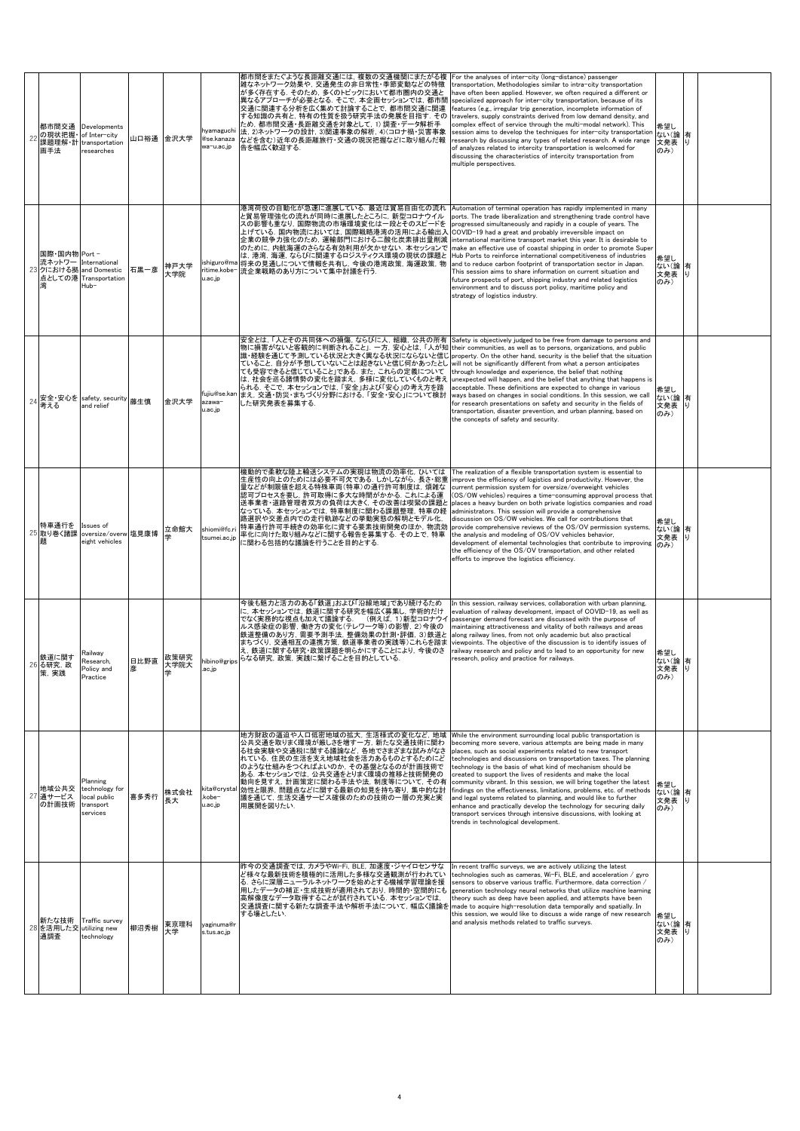| 22 | 都市間交通<br>の現状把握· of Inter-city<br>画手法    | Developments<br>課題理解·計 transportation<br>researches                 | 山口裕通 金沢大学 |              | hyamaguchi<br>wa-u.ac.jp         | 都市間をまたぐような長距離交通には,複数の交通機関にまたがる複<br>雑なネットワーク効果や、交通発生の非日常性・季節変動などの特徴<br>が多く存在する。そのため、多くのトピックにおいて都市圏内の交通と<br>異なるアプローチが必要となる。そこで、本企画セッションでは、都市間<br>交通に関連する分析を広く集めて討論することで、都市間交通に関連<br>する知識の共有と、特有の性質を扱う研究手法の発展を目指す、その<br>ため,都市間交通・長距離交通を対象として, 1) 調査・データ解析手<br>法, 2)ネットワークの設計, 3)関連事象の解析, 4)(コロナ禍・災害事象<br>@se.kanaza などを含む)近年の長距離旅行·交通の現況把握などに取り組んだ報<br>告を幅広く歓迎する.                                                                                                                                                                                        | For the analyses of inter-city (long-distance) passenger<br>transportation, Methodologies similar to intra-city transportation<br>ave often been applied. However, we often required a different or<br>specialized approach for inter-city transportation, because of its<br>features (e.g., irregular trip generation, incomplete information of<br>travelers, supply constraints derived from low demand density, and<br>complex effect of service through the multi-modal network). This<br>session aims to develop the techniques for inter-city transportation<br>research by discussing any types of related research. A wide range<br>of analyzes related to intercity transportation is welcomed for<br>discussing the characteristics of intercity transportation from<br>multiple perspectives.     | 希望し<br>ない(論<br>文発表<br>のみ) | 有<br>IJ  |  |
|----|-----------------------------------------|---------------------------------------------------------------------|-----------|--------------|----------------------------------|-------------------------------------------------------------------------------------------------------------------------------------------------------------------------------------------------------------------------------------------------------------------------------------------------------------------------------------------------------------------------------------------------------------------------------------------------------------------------------------------------------------------------------------------------------|---------------------------------------------------------------------------------------------------------------------------------------------------------------------------------------------------------------------------------------------------------------------------------------------------------------------------------------------------------------------------------------------------------------------------------------------------------------------------------------------------------------------------------------------------------------------------------------------------------------------------------------------------------------------------------------------------------------------------------------------------------------------------------------------------------------|---------------------------|----------|--|
|    | 国際·国内物 Port -<br>23 クにおける拠 and Domestic | 流ネットワー International<br>点としての港 Transportation<br>Hub-               | 石黒一彦      | 神戸大学<br>大学院  | u.ac.jp                          | 港湾荷役の自動化が急速に進展している. 最近は貿易自由化の流れ<br>と貿易管理強化の流れが同時に進展したところに,新型コロナウイル<br>スの影響も重なり、国際物流の市場環境変化は一段とそのスピードを<br>上げている. 国内物流においては, 国際戦略港湾の活用による輸出入<br>企業の競争力強化のため、運輸部門における二酸化炭素排出量削減<br>のために、内航海運のさらなる有効利用が欠かせない. 本セッションで<br>は、港湾、海運、ならびに関連するロジスティクス環境の現状の課題と<br>ishiguro@ma 将来の見通しについて情報を共有し, 今後の港湾政策, 海運政策, 物<br>ritime.kobe- 流企業戦略のあり方について集中討議を行う.                                                                                                                                                                                                         | Automation of terminal operation has rapidly implemented in many<br>ports. The trade liberalization and strengthening trade control have<br>progressed simultaneously and rapidly in a couple of years. The<br>COVID-19 had a great and probably irreversible impact on<br>international maritime transport market this year. It is desirable to<br>make an effective use of coastal shipping in order to promote Super<br>Hub Ports to reinforce international competitiveness of industries<br>and to reduce carbon footprint of transportation sector in Japan.<br>This session aims to share information on current situation and<br>future prospects of port, shipping industry and related logistics<br>environment and to discuss port policy, maritime policy and<br>strategy of logistics industry.  | 希望し<br>ない(論<br>文発表<br>のみ) | 有<br>LJ  |  |
|    | 考える                                     | 24 安全·安心を safety, security<br>and relief                            | 藤生慎       | 金沢大学         | azawa-<br>u.ac.jp                | 安全とは、「人とその共同体への損傷、ならびに人、組織、公共の所有<br>物に損害がないと客観的に判断されること」一方,安心とは,「人が知 their communities, as well as to persons, organizations, and public<br> 識・経験を通じて予測している状況と大きく異なる状況にならないと信じ property. On the other hand, security is the belief that the situation<br>ていること、自分が予想していないことは起きないと信じ何かあったとし<br>ても受容できると信じていること」である. また, これらの定義について<br> は,社会を巡る諸情勢の変化を踏まえ,多様に変化していくものと考え  unexpected will happen, and the belief that anything that happens is<br>られる。そこで、本セッションでは、「安全」および「安心」の考え方を踏<br>fujiu@se.kan まえ、交通・防災・まちづくり分野における、「安全・安心」について検討<br>した研究発表を募集する. | Safety is objectively judged to be free from damage to persons and<br>will not be significantly different from what a person anticipates<br>through knowledge and experience, the belief that nothing<br>acceptable. These definitions are expected to change in various<br>ways based on changes in social conditions. In this session, we call<br>for research presentations on safety and security in the fields of<br>transportation, disaster prevention, and urban planning, based on<br>the concepts of safety and security.                                                                                                                                                                                                                                                                           | 希望し<br>ない(論<br>文発表<br>のみ) | 有<br>U)  |  |
|    | 特車通行を<br>25 取り巻く諸課                      | Issues of<br>oversize/overw 塩見康博<br>eight vehicles                  |           | 立命館大<br>学    | shiomi@fc.ri<br>tsumei.ac.jp     | 機動的で柔軟な陸上輸送システムの実現は物流の効率化, ひいては<br>生産性の向上のためには必要不可欠である. しかしながら, 長さ・総重<br>量などが制限値を超える特殊車両(特車)の通行許可制度は, 煩雑な<br>認可プロセスを要し,許可取得に多大な時間がかかる. これによる運<br>送事業者・道路管理者双方の負荷は大きく、その改善は喫緊の課題。<br>なっている. 本セッションでは, 特車制度に関わる課題整理, 特車の経<br>路選択や交差点内での走行軌跡などの挙動実態の解明とモデル化.<br>特車通行許可手続きの効率化に資する要素技術開発のほか, 物流効<br>率化に向けた取り組みなどに関する報告を募集する. その上で, 特車<br>に関わる包括的な議論を行うことを目的とする.                                                                                                                                                                                           | The realization of a flexible transportation system is essential to<br>improve the efficiency of logistics and productivity. However, the<br>current permission system for oversize/overweight vehicles<br>(OS/OW vehicles) requires a time-consuming approval process that<br>places a heavy burden on both private logistics companies and road<br>administrators. This session will provide a comprehensive<br>discussion on OS/OW vehicles. We call for contributions that<br>provide comprehensive reviews of the OS/OV permission systems,<br>the analysis and modeling of OS/OV vehicles behavior,<br>development of elemental technologies that contribute to improving<br>the efficiency of the OS/OV transportation, and other related<br>efforts to improve the logistics efficiency.              | 希望し<br>ない(論<br>文発表<br>のみ) | 有<br>IJ  |  |
|    | 鉄道に関す<br>26 る研究,政<br>茦. 実践              | Railwav<br>Research,<br>Policy and<br>Practice                      | 日比野直<br>彦 | 政策研究<br>大学院大 | ac.jp                            | 今後も魅力と活力のある「鉄道」および「沿線地域」であり続けるため<br>に、 本セッションでは、 鉄道に関する研究を幅広く募集し、 学術的だけ<br>でなく実務的な視点も加えて議論する.<br>(例えば, 1) 新型コロナウイ<br>ルス感染症の影響, 働き方の変化(テレワーク等)の影響, 2)今後の<br>鉄道整備のあり方,需要予測手法,整備効果の計測・評価, 3)鉄道と<br>まちづくり、交通相互の連携方策、鉄道事業者の実践等)これらを踏ま<br>え、鉄道に関する研究・政策課題を明らかにすることにより、今後のさ<br>hibino@grips らなる研究, 政策, 実践に繋げることを目的としている.                                                                                                                                                                                                                                     | n this session, railway services, collaboration with urban planning,<br>evaluation of railway development, impact of COVID-19, as well as<br>passenger demand forecast are discussed with the purpose of<br>maintaining attractiveness and vitality of both railways and areas<br>along railway lines, from not only academic but also practical<br>viewpoints. The objective of the discussion is to identify issues of<br>railway research and policy and to lead to an opportunity for new<br>research, policy and practice for railways.                                                                                                                                                                                                                                                                  | 希望し<br>ない(論<br>文発表<br>のみ) | 有<br>ΙIJ |  |
|    | 地域公共交<br>27<br>通サービス<br>の計画技術           | Planning<br>technology for<br>local public<br>transport<br>services | 喜多秀行      | 株式会社<br>長大   | kita@crystal<br>kobe-<br>u.ac.jp | 地方財政の逼迫や人口低密地域の拡大、生活様式の変化など、地域<br>公共交通を取りまく環境が厳しさを増す一方、新たな交通技術に関わ<br>る社会実験や交通税に関する議論など、各地でさまざまな試みがなさ<br>れている.住民の生活を支え地域社会を活力あるものとするためにど<br>のような仕組みをつくればよいのか、その基盤となるのが計画技術で<br>ある. 本セッションでは, 公共交通をとりまく環境の推移と技術開発の<br> 動向を見すえ, 計画策定に関わる手法や法, 制度等について, その有<br>効性と限界, 問題点などに関する最新の知見を持ち寄り, 集中的な討<br>議を通じて、生活交通サービス確保のための技術の一層の充実と実<br>用展開を図りたい.                                                                                                                                                                                                           | While the environment surrounding local public transportation is<br>becoming more severe, various attempts are being made in many<br>places, such as social experiments related to new transport<br>technologies and discussions on transportation taxes. The planning<br>technology is the basis of what kind of mechanism should be<br>created to support the lives of residents and make the local<br>community vibrant. In this session, we will bring together the latest<br>findings on the effectiveness, limitations, problems, etc. of methods<br>and legal systems related to planning, and would like to further<br>enhance and practically develop the technology for securing daily<br>transport services through intensive discussions, with looking at<br>trends in technological development. | 希望し<br>ない(論<br>文発表<br>のみ) | 有<br>L)  |  |
|    | 28 を活用した交 utilizing new<br>通調査          | 新たな技術 Traffic survey<br>technology                                  | 柳沼秀樹      | 東京理科<br>大学   | yaginuma@r<br>s.tus.ac.jp        | 昨今の交通調査では、カメラやWi-Fi, BLE, 加速度・ジャイロセンサな<br>ど様々な最新技術を積極的に活用した多様な交通観測が行われてい<br>る. さらに深層ニューラルネットワークを始めとする機械学習理論を援<br>用したデータの補正・生成技術が適用されており,時間的・空間的にも<br> 高解像度なデータ取得することが試行されている. 本セッションでは,<br>交通調査に関する新たな調査手法や解析手法について,幅広く議論を<br>する場としたい.                                                                                                                                                                                                                                                                                                                | In recent traffic surveys, we are actively utilizing the latest<br>technologies such as cameras, Wi-Fi, BLE, and acceleration / gyro<br>sensors to observe various traffic. Furthermore, data correction /<br>generation technology neural networks that utilize machine learning<br>heory such as deep have been applied, and attempts have been:<br>made to acquire high-resolution data temporally and spatially. In<br>this session, we would like to discuss a wide range of new research<br>and analysis methods related to traffic surveys.                                                                                                                                                                                                                                                            | 希望し<br>ない(論<br>文発表<br>のみ) | 有<br>IJ  |  |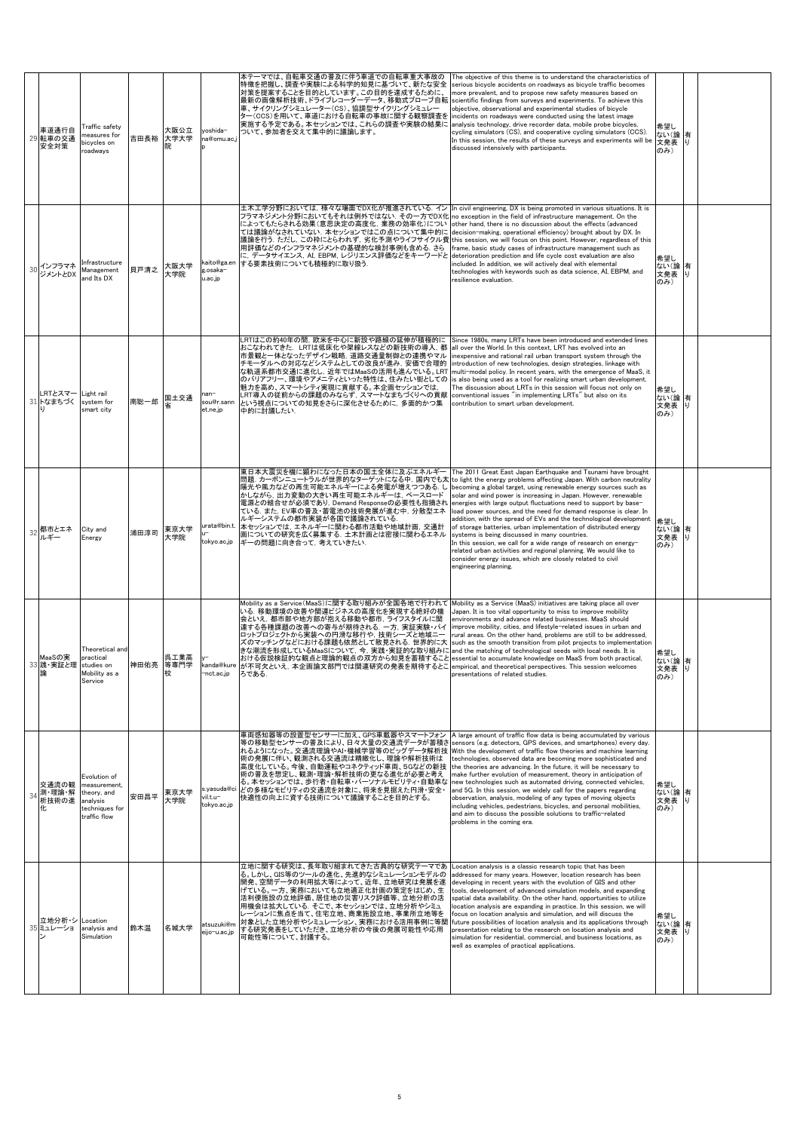|    | 車道通行自<br>29 転車の交通<br>安全対策      | Traffic safety<br>neasures for<br>bicycles on<br>roadways                                 | 吉田長裕      | 大阪公立<br>大学大学 | yoshida-<br>na@omu.ac.                 | ーマでは、自転車交通の普及に伴う車道での自転車重大事故の<br>特徴を把握し、調査や実験による科学的知見に基づいて、新たな安全<br>対策を提案することを目的としています。この目的を達成するために、<br>最新の画像解析技術、ドライブレコーダーデータ、移動式プローブ自転<br>車、サイクリングシミュレーター(CS)、協調型サイクリングシミュレー<br>ター(CCS)を用いて、車道における自転車の事故に関する観察調査を<br>実施する予定である。本セッションでは、これらの調査や実験の結果に<br>ついて、参加者を交えて集中的に議論します。                                                                                                                                                                                    | The objective of this theme is to understand the characteristics of<br>serious bicycle accidents on roadways as bicycle traffic becomes<br>more prevalent, and to propose new safety measures based on<br>scientific findings from surveys and experiments. To achieve this<br>objective, observational and experimental studies of bicycle<br>incidents on roadways were conducted using the latest image<br>analysis technology, drive recorder data, mobile probe bicycles,<br>cycling simulators (CS), and cooperative cycling simulators (CCS).<br>In this session, the results of these surveys and experiments will be<br>discussed intensively with participants.                                                                                                                                                                       | 希望し<br>ない(論<br>文発表 り<br>のみ)   | 有       |  |
|----|--------------------------------|-------------------------------------------------------------------------------------------|-----------|--------------|----------------------------------------|--------------------------------------------------------------------------------------------------------------------------------------------------------------------------------------------------------------------------------------------------------------------------------------------------------------------------------------------------------------------------------------------------------------------------------------------------------------------|-------------------------------------------------------------------------------------------------------------------------------------------------------------------------------------------------------------------------------------------------------------------------------------------------------------------------------------------------------------------------------------------------------------------------------------------------------------------------------------------------------------------------------------------------------------------------------------------------------------------------------------------------------------------------------------------------------------------------------------------------------------------------------------------------------------------------------------------------|-------------------------------|---------|--|
| 30 | インフラマネ<br>ジメントとDX              | nfrastructure<br>Management<br>and Its DX                                                 | 貝戸清之      | 大阪大学<br>大学院  | kaito@ga.en<br>g.osaka-<br>u.ac.jp     | 土木工学分野においては,様々な場面でDX化が推進されている. イン<br>フラマネジメント分野においてもそれは例外ではない. その一方でDX化 no exception in the field of infrastructure management. On the<br>によってもたらされる効果(意思決定の高度化,業務の効率化)につい<br>ては議論がなされていない、本セッションではこの点について集中的に<br>議論を行う. ただし, この枠にとらわれず, 劣化予測やライフサイクル費 this session, we will focus on this point. However, regardless of this<br>用評価などのインフラマネジメントの基礎的な検討事例も含める. さら<br>に, データサイエンス, AI, EBPM, レジリエンス評価などをキーワードと<br>する要素技術についても積極的に取り扱う.                             | In civil engineering. DX is being promoted in various situations. It is<br>other hand, there is no discussion about the effects (advanced<br>decision-making, operational efficiency) brought about by DX. In<br>frame, basic study cases of infrastructure management such as<br>deterioration prediction and life cycle cost evaluation are also<br>included. In addition, we will actively deal with elemental<br>technologies with keywords such as data science, AI, EBPM, and<br>resilience evaluation.                                                                                                                                                                                                                                                                                                                                   | 希望し<br>ない(論有<br>文発表 り<br>のみ)  |         |  |
| 31 | RTとスマー<br>トなまちづく               | Light rail<br>system for<br>smart city                                                    | 南聡一郎      | 国土交通<br>省    | nan-<br>sou@r.sann<br>et.ne.jp         | LRTはこの約40年の間, 欧米を中心に新設や路線の延伸が積極的に<br>おこなわれてきた. LRTは低床化や架線レスなどの新技術の導入,都<br> 市景観と一体となったデザイン戦略, 道路交通量制御との連携やマル<br>チモーダルへの対応などシステムとしての改良が進み、安価で合理的<br>な軌道系都市交通に進化し,近年ではMaaSの活用も進んでいる。LRT<br>のバリアフリー、環境やアメニティといった特性は、住みたい街としての<br>魅力を高め、スマートシティ実現に貢献する。本企画セッションでは,<br>LRT導入の従前からの課題のみならず, スマートなまちづくりへの貢献<br>という視点についての知見をさらに深化させるために,多面的かつ集<br>中的に討議したい.                                                                                                                | Since 1980s, many LRTs have been introduced and extended lines<br>all over the World. In this context, LRT has evolved into an<br>nexpensive and rational rail urban transport system through the<br>introduction of new technologies, design strategies, linkage with<br>multi-modal policy. In recent years, with the emergence of MaaS, it<br>is also being used as a tool for realizing smart urban development.<br>The discussion about LRTs in this session will focus not only on<br>conventional issues "in implementing LRTs" but also on its<br>contribution to smart urban development.                                                                                                                                                                                                                                              | 希望し<br>ない(論<br>文発表<br>のみ)     | 有<br>IJ |  |
|    | 都市とエネ<br>ルギー                   | City and<br>Energy                                                                        | 浦田淳司      | 東京大学<br>大学院  | urata@bin.t.<br>tokyo.ac.jp            | 東日本大震災を機に顕わになった日本の国土全体に及ぶエネルギー<br>問題. カーボンニュートラルが世界的なターゲットになる中, 国内でも太<br>陽光や風力などの再生可能エネルギーによる発電が増えつつある. し<br>かしながら,出力変動の大きい再生可能エネルギーは,ベースロード<br>電源との組合せが必須であり, Demand Responseの必要性も指摘され<br>ている. また, EV車の普及・蓄電池の技術発展が進む中, 分散型エネ<br>ルギーシステムの都市実装が各国で議論されている.<br>本セッションでは、エネルギーに関わる都市活動や地域計画, 交通計<br>画についての研究を広く募集する. 土木計画とは密接に関わるエネル<br>ギーの問題に向き合って、考えていきたい.                                                                                                         | The 2011 Great East Japan Earthquake and Tsunami have brought<br>to light the energy problems affecting Japan. With carbon neutrality<br>becoming a global target, using renewable energy sources such as<br>solar and wind power is increasing in Japan. However, renewable<br>energies with large output fluctuations need to support by base-<br>load power sources, and the need for demand response is clear. In<br>addition, with the spread of EVs and the technological development<br>of storage batteries, urban implementation of distributed energy<br>systems is being discussed in many countries.<br>In this session, we call for a wide range of research on energy-<br>related urban activities and regional planning. We would like to<br>consider energy issues, which are closely related to civil<br>engineering planning. | 希望し<br>ない(論<br>文発表<br>のみ)     | 有<br>IJ |  |
|    | MaaSの実<br>33 践·実証と理 studies on | Theoretical and<br>practical<br>Mobility as a<br>Service                                  | 神田佑亮 等専門学 | 呉工業高<br>校    | kanda@kure<br>nct.ac.jp-               | Mobility as a Service(MaaS)に関する取り組みが全国各地で行われて<br>いる. 移動環境の改善や関連ビジネスの高度化を実現する絶好の機<br>会といえ、都市部や地方部が抱える移動や都市、ライフスタイルに関<br>連する各種課題の改善への寄与が期待される. 一方, 実証実験・パイ<br>ロットプロジェクトから実装への円滑な移行や、技術シーズと地域ニー<br>ズのマッチングなどにおける課題も依然として散見される. 世界的に大<br>きな潮流を形成しているMaaSについて、今,実践・実証的な取り組みに<br>おける仮説検証的な観点と理論的観点の双方から知見を蓄積すること<br>が不可欠といえ、本企画論文部門では関連研究の発表を期待するとこ<br>ろである.                                                                                                             | Mobility as a Service (MaaS) initiatives are taking place all over<br>Japan. It is too vital opportunity to miss to improve mobility<br>environments and advance related businesses. MaaS should<br>improve mobility, cities, and lifestyle-related issues in urban and<br>rural areas. On the other hand, problems are still to be addressed,<br>such as the smooth transition from pilot projects to implementation<br>and the matching of technological seeds with local needs. It is<br>essential to accumulate knowledge on MaaS from both practical,<br>empirical, and theoretical perspectives. This session welcomes<br>presentations of related studies                                                                                                                                                                                | 希望し<br>ない(論 有<br>文発表 り<br>のみ) |         |  |
| 34 | 交通流の観<br>測・理論・解<br>析技術の進<br>化  | Evolution of<br>measurement.<br>theory, and<br>analysis<br>techniques for<br>traffic flow | 安田昌平      | 東京大学<br>大学院  | s.yasuda@ci<br>vil.t.u-<br>tokyo.ac.jp | 車両感知器等の設置型センサーに加え、GPS車載器やスマートフォン<br>等の移動型センサーの普及により、日々大量の交通流データが蓄積さ sensors (e.g. detectors, GPS devices, and smartphones) every day.<br>れるようになった。交通流理論やAI・機械学習等のビッグデータ解析技 With the development of traffic flow theories and machine learning<br>術の発展に伴い、観測される交通流は精緻化し、理論や解析技術は<br>高度化している。今後、自動運転やコネクティッド車両、5Gなどの新技<br>術の普及を想定し、観測・理論・解析技術の更なる進化が必要と考え<br>る。本セッションでは、歩行者・自転車・パーソナルモビリティ・自動車な<br>どの多様なモビリティの交通流を対象に、将来を見据えた円滑・安全・<br>快適性の向上に資する技術について議論することを目的とする。 | A large amount of traffic flow data is being accumulated by various<br>technologies, observed data are becoming more sophisticated and<br>the theories are advancing. In the future, it will be necessary to<br>make further evolution of measurement, theory in anticipation of<br>new technologies such as automated driving, connected vehicles.<br>and 5G. In this session, we widely call for the papers regarding<br>observation, analysis, modeling of any types of moving objects<br>including vehicles, pedestrians, bicycles, and personal mobilities,<br>and aim to discuss the possible solutions to traffic-related<br>problems in the coming era.                                                                                                                                                                                 | 希望し<br>ない(論<br>文発表<br>のみ)     | 有<br>IJ |  |
|    | 立地分析・シ Location<br>35 ミュレーショ   | analysis and<br>Simulation                                                                | 鈴木温       | 名城大学         | atsuzuki@m<br>eijo-u.ac.jp             | 立地に関する研究は、長年取り組まれてきた古典的な研究テーマであ<br>る。しかし、GIS等のツールの進化、先進的なシミュレーションモデルの<br>開発、空間データの利用拡大等によって、近年、立地研究は発展を遂<br>げている。一方、実務においても立地適正化計画の策定をはじめ、生<br>活利便施設の立地評価、居住地の災害リスク評価等、立地分析の活<br>用機会は拡大している. そこで、本セッションでは、立地分析やシミュ<br>レーションに焦点を当て、住宅立地、商業施設立地、事業所立地等を<br>対象とした立地分析やシミュレーション、実務における活用事例に等関<br>する研究発表をしていただき、立地分析の今後の発展可能性や応用<br>可能性等について、討議する。                                                                                                                      | Location analysis is a classic research topic that has been<br>addressed for many years. However, location research has been<br>developing in recent years with the evolution of GIS and other<br>tools, development of advanced simulation models, and expanding<br>spatial data availability. On the other hand, opportunities to utilize<br>location analysis are expanding in practice. In this session, we will<br>focus on location analysis and simulation, and will discuss the<br>future possibilities of location analysis and its applications through<br>presentation relating to the research on location analysis and<br>simulation for residential, commercial, and business locations, as<br>well as examples of practical applications.                                                                                        | 希望し<br>ない(論<br>文発表<br>のみ)     | 有<br>IJ |  |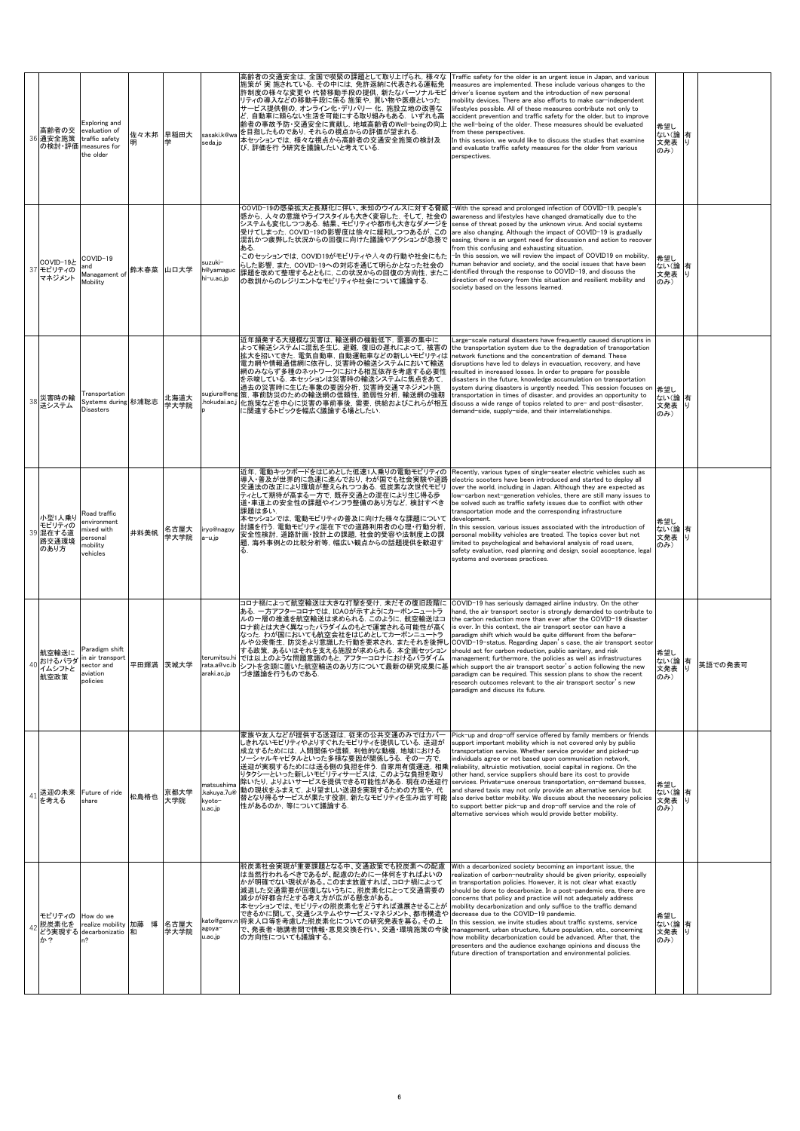|    | 高齢者の交<br>36 通安全施策                             | Exploring and<br>evaluation of<br>traffic safety<br>の検討·評価 measures for<br>the older | 佐々木邦      | 早稲田大<br>学    | sasaki.k@wa<br>seda.jp                         | 高齢者の交通安全は, 全国で喫緊の課題として取り上げられ, 様々な<br>施策が 実 施されている. その中には, 免許返納に代表される運転免<br>許制度の様々な変更や 代替移動手段の提供, 新たなパーソナルモビ<br>リティの導入などの移動手段に係る 施策や, 買い物や医療といった<br>サービス提供側の, オンライン化・デリバリー 化, 施設立地の改善な<br>ど, 自動車に頼らない生活を可能にする取り組みもある. いずれも高<br>齢者の事故予防・交通安全に貢献し, 地域高齢者のWell-beingの向上<br>を目指したものであり、それらの視点からの評価が望まれる。<br>本セッションでは,様々な視点から高齢者の交通安全施策の検討及<br>び, 評価を行 う研究を議論したいと考えている.                                                                                     | Traffic safety for the older is an urgent issue in Japan, and various<br>neasures are implemented. These include various changes to the<br>driver's license system and the introduction of new personal<br>mobility devices. There are also efforts to make car-independent<br>ifestyles possible. All of these measures contribute not only to<br>accident prevention and traffic safety for the older, but to improve<br>the well-being of the older. These measures should be evaluated<br>from these perspectives.<br>In this session, we would like to discuss the studies that examine<br>and evaluate traffic safety measures for the older from various<br>perspectives.                                                                                                                           | 希望し<br>ない(論<br>文発表 り<br>のみ) | 有       |         |
|----|-----------------------------------------------|--------------------------------------------------------------------------------------|-----------|--------------|------------------------------------------------|-------------------------------------------------------------------------------------------------------------------------------------------------------------------------------------------------------------------------------------------------------------------------------------------------------------------------------------------------------------------------------------------------------------------------------------------------------|------------------------------------------------------------------------------------------------------------------------------------------------------------------------------------------------------------------------------------------------------------------------------------------------------------------------------------------------------------------------------------------------------------------------------------------------------------------------------------------------------------------------------------------------------------------------------------------------------------------------------------------------------------------------------------------------------------------------------------------------------------------------------------------------------------|-----------------------------|---------|---------|
|    | COVID-19と<br>37 モビリティの<br>マネジメント              | COVID-19<br>and<br>Managament of<br>Mobility                                         | 鈴木春菜      | 山口大学         | suzuki-<br>h@yamaguc<br>hi−u.ac.jp             | ·COVID-19の感染拡大と長期化に伴い、未知のウイルスに対する脅威 <br>感から、人々の意識やライフスタイルも大きく変容した。そして、社会の<br>システムも変化しつつある。結果、モビリティや都市も大きなダメージを<br>受けてしまった. COVID-19の影響度は徐々に緩和しつつあるが, この<br>混乱かつ疲弊した状況からの回復に向けた議論やアクションが急務で<br>ある.<br>このセッションでは, COVID19がモビリティや人々の行動や社会にもた<br>らした影響. また. COVID-19への対応を通じて明らかとなった社会の<br>課題を改めて整理するとともに、この状況からの回復の方向性、またこ<br>の教訓からのレジリエントなモビリティや社会について議論する.                                                                                              | -With the spread and prolonged infection of COVID-19, people's<br>wareness and lifestyles have changed dramatically due to the<br>sense of threat posed by the unknown virus. And social systems<br>are also changing. Although the impact of COVID-19 is gradually<br>easing, there is an urgent need for discussion and action to recover<br>rom this confusing and exhausting situation.<br>-In this session, we will review the impact of COVID19 on mobility.<br>human behavior and society, and the social issues that have been<br>identified through the response to COVID-19, and discuss the<br>direction of recovery from this situation and resilient mobility and<br>society based on the lessons learned.                                                                                    | 希望し<br>ない(論<br>文発表<br>のみ)   | 有<br>IJ |         |
|    | 38 災害時の輸<br>送システム                             | Transportation<br>Systems during 杉浦聡志<br>Disasters                                   |           | 北海道大<br>学大学院 | sugiura@eng<br>hokudai.ac.j                    | 近年頻発する大規模な災害は、輸送網の機能低下、需要の集中に<br>よって輸送システムに混乱を生じ,避難,復旧の遅れによって,被害の<br>拡大を招いてきた. 電気自動車, 自動運転車などの新しいモビリティは<br>電力網や情報通信網に依存し、災害時の輸送システムにおいて輸送<br>網のみならず多種のネットワークにおける相互依存を考慮する必要性<br>を示唆している. 本セッションは災害時の輸送システムに焦点をあて,<br>過去の災害時に生じた事象の要因分析,災害時交通マネジメント施<br>策, 事前防災のための輸送網の信頼性, 脆弱性分析, 輸送網の強靭<br>化施策などを中心に災害の事前事後、需要、供給およびこれらが相互<br>に関連するトピックを幅広く議論する場としたい.                                                                                                | Large-scale natural disasters have frequently caused disruptions in<br>the transportation system due to the degradation of transportation<br>network functions and the concentration of demand. These<br>disruptions have led to delays in evacuation, recovery, and have<br>resulted in increased losses. In order to prepare for possible<br>disasters in the future, knowledge accumulation on transportation<br>system during disasters is urgently needed. This session focuses on<br>transportation in times of disaster, and provides an opportunity to<br>discuss a wide range of topics related to pre- and post-disaster,<br>demand-side, supply-side, and their interrelationships.                                                                                                             | 希望し<br>ない(論<br>文発表<br>のみ)   | 有       |         |
|    | 小型1人乗り<br>モビリティの<br>39 混在する道<br>路交通環境<br>のあり方 | Road traffic<br>environment<br>mixed with<br>personal<br>mobility<br>vehicles        | 井料美帆      | 名古屋大<br>学大学院 | iryo@nagoy<br>a-u.jp                           | 近年,電動キックボードをはじめとした低速1人乗りの電動モビリティの<br>導入・普及が世界的に急速に進んでおり,わが国でも社会実験や道路<br>交通法の改正により環境が整えられつつある。低炭素な次世代モビリ<br>ティとして期待が高まる一方で,既存交通との混在により生じ得る歩<br>道・車道上の安全性の課題やインフラ整備のあり方など, 検討すべき<br>課題は多い.<br>本セッションでは,電動モビリティの普及に向けた様々な課題について<br>討議を行う.電動モビリティ混在下での道路利用者の心理・行動分析.<br>安全性検討, 道路計画・設計上の課題, 社会的受容や法制度上の課<br>題,海外事例との比較分析等,幅広い観点からの話題提供を歓迎す<br>る.                                                                                                          | Recently, various types of single-seater electric vehicles such as<br>electric scooters have been introduced and started to deploy all<br>over the world, including in Japan. Although they are expected as<br>low-carbon next-generation vehicles, there are still many issues to<br>be solved such as traffic safety issues due to conflict with other<br>ransportation mode and the corresponding infrastructure<br>development.<br>In this session, various issues associated with the introduction of<br>personal mobility vehicles are treated. The topics cover but not<br>imited to psychological and behavioral analysis of road users,<br>safety evaluation, road planning and design, social acceptance, legal<br>systems and overseas practices.                                               | 希望し<br>ない(論<br>文発表 り<br>のみ) | 有       |         |
|    | 航空輸送に<br>40 おけるパラダ<br>イムシフトと<br>航空政策          | Paradigm shift<br>in air transport<br>sector and<br>aviation<br>policies             | 平田輝満 茨城大学 |              | araki.ac.jp                                    | コロナ禍によって航空輸送は大きな打撃を受け, 未だその復旧段階に<br>ある. 一方アフターコロナでは,ICAOが示すようにカーボンニュートラ<br>ルの一層の推進を航空輸送は求められる. このように, 航空輸送はコ<br>ロナ前とは大きく異なったパラダイムのもとで運営される可能性が高く<br>なった。わが国においても航空会社をはじめとしてカーボンニュートラ<br>ルや公衆衛生,防災をより意識した行動を要求され,またそれを後押し<br>する政策, あるいはそれを支える施設が求められる. 本企画セッション<br>terumitsu.hi では以上のような問題意識のもと, アフターコロナにおけるパラダイム<br>rata.a@vc.ib  シフトを念頭に置いた航空輸送のあり方について最新の研究成果に基  which support the air transport sector's action following the new<br>づき議論を行うものである. | COVID-19 has seriously damaged airline industry. On the other<br>hand, the air transport sector is strongly demanded to contribute to<br>the carbon reduction more than ever after the COVID-19 disaster<br>is over. In this context, the air transport sector can have a<br>paradigm shift which would be quite different from the before-<br>COVID-19-status. Regarding Japan's case, the air transport sector<br>should act for carbon reduction, public sanitary, and risk<br>management; furthermore, the policies as well as infrastructures<br>paradigm can be required. This session plans to show the recent<br>research outcomes relevant to the air transport sector's new<br>paradigm and discuss its future.                                                                                  | 希望し<br>ない(論<br>文発表 り<br>のみ) | 有       | 英語での発表可 |
| 41 | を考える                                          | 送迎の未来 Future of ride<br>share                                                        | 松島格也      | 京都大学<br>大学院  | natsushima<br>.kakuya.7u@<br>kyoto-<br>u.ac.jp | 家族や友人などが提供する送迎は,従来の公共交通のみではカバー<br>しきれないモビリティやよりすぐれたモビリティを提供している. 送迎が<br>成立するためには,人間関係や信頼,利他的な動機, 地域における<br>ソーシャルキャピタルといった多様な要因が関係しうる、その一方で、<br>送迎が実現するためには送る側の負担を伴う. 自家用有償運送, 相乗  reliability, altruistic motivation, social capital in regions. On the<br>りタクシーといった新しいモビリティサービスは、このような負担を取り<br>除いたり、よりよいサービスを提供できる可能性がある. 現在の送迎行<br>動の現状をふまえて、より望ましい送迎を実現するための方策や、代<br>替となり得るサービスが果たす役割,新たなモビリティを生み出す可能<br>性があるのか,等について議論する.                         | Pick-up and drop-off service offered by family members or friends<br>support important mobility which is not covered only by public<br>transportation service. Whether service provider and picked-up<br>individuals agree or not based upon communication network.<br>other hand, service suppliers should bare its cost to provide<br>services. Private-use onerous transportation, on-demand busses,<br>and shared taxis may not only provide an alternative service but<br>also derive better mobility. We discuss about the necessary policies<br>to support better pick-up and drop-off service and the role of<br>alternative services which would provide better mobility.                                                                                                                         | 希望し<br>ない(論<br>文発表<br>のみ)   | 有       |         |
|    | モビリティの How do we<br>脱炭素化を<br>か?               | realize mobility 加藤 博<br>どう実現する decarbonizatio 和<br>n?                               |           | 名古屋大<br>学大学院 | kato@genv.n<br>agoya-<br>u.ac.jp               | 脱炭素社会実現が重要課題となる中、交通政策でも脱炭素への配慮<br>は当然行われるべきであるが、配慮のために一体何をすればよいの<br>かが明確でない現状がある。このまま放置すれば、コロナ禍によって<br>減退した交通需要が回復しないうちに、脱炭素化にとって交通需要の<br>減少が好都合だとする考え方が広がる懸念がある。<br>本セッションでは、モビリティの脱炭素化をどうすれば進展させることが<br>できるかに関して、交通システムやサービス・マネジメント、都市構造や<br> 将来人口等を考慮した脱炭素化についての研究発表を募る。その上<br>で、発表者・聴講者間で情報・意見交換を行い、交通・環境施策の今後<br>の方向性についても議論する。                                                                                                                  | With a decarbonized society becoming an important issue, the<br>realization of carbon-neutrality should be given priority, especially<br>in transportation policies. However, it is not clear what exactly<br>should be done to decarbonize. In a post-pandemic era, there are<br>concerns that policy and practice will not adequately address<br>mobility decarbonization and only suffice to the traffic demand<br>decrease due to the COVID-19 pandemic.<br>In this session, we invite studies about traffic systems, service<br>management, urban structure, future population, etc., concerning<br>ow mobility decarbonization could be advanced. After that, the<br>presenters and the audience exchange opinions and discuss the<br>future direction of transportation and environmental policies. | 希望し<br>ない(論<br>文発表 り<br>のみ) | 有       |         |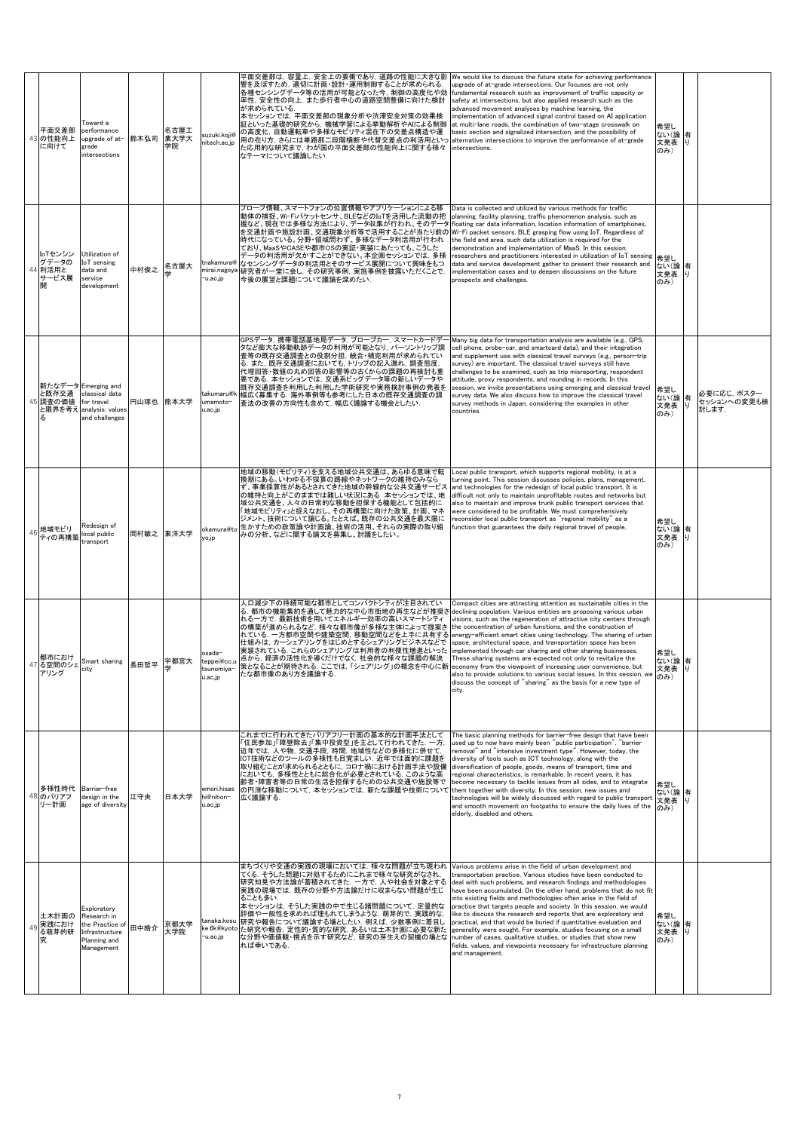| 平面交差部<br>43 の性能向上<br>に向けて            | Toward a<br>performance<br>upgrade of at-<br>grade<br>intersections                              | 鈴木弘司      | 名古屋工<br>業大学大<br>学院 | suzuki.koji@<br>nitech.ac.jp                       | 平面交差部は, 容量上, 安全上の要衝であり, 道路の性能に大きな影<br>響を及ぼすため,適切に計画・設計・運用制御することが求められる.<br>各種センシングデータ等の活用が可能となった今,制御の高度化や効<br>率性, 安全性の向上, また歩行者中心の道路空間整備に向けた検討<br>が求められている.<br>本セッションでは、平面交差部の現象分析や渋滞安全対策の効果検<br>証といった基礎的研究から,機械学習による挙動解析やAIによる制御<br>の高度化、自動運転車や多様なモビリティ混在下の交差点構造や運<br>用の在り方,さらには単路部二段階横断や代替交差点の利活用といっ<br>た応用的な研究まで,わが国の平面交差部の性能向上に関する様々<br>なテーマについて議論したい.                                                                                                                                                                                                     | We would like to discuss the future state for achieving performance<br>upgrade of at-grade intersections. Our focuses are not only<br>fundamental research such as improvement of traffic capacity or<br>safety at intersections, but also applied research such as the<br>advanced movement analyses by machine learning, the<br>implementation of advanced signal control based on AI application<br>at multi-lane roads, the combination of two-stage crosswalk on<br>basic section and signalized intersection, and the possibility of<br>alternative intersections to improve the performance of at-grade<br>intersections.                                                                                                                                                                  | 希望し<br>ない(論<br>文発表 り<br>のみ) | 有        |                                    |
|--------------------------------------|--------------------------------------------------------------------------------------------------|-----------|--------------------|----------------------------------------------------|---------------------------------------------------------------------------------------------------------------------------------------------------------------------------------------------------------------------------------------------------------------------------------------------------------------------------------------------------------------------------------------------------------------------------------------------------------------------------------------------------------------------------------------------------------------|---------------------------------------------------------------------------------------------------------------------------------------------------------------------------------------------------------------------------------------------------------------------------------------------------------------------------------------------------------------------------------------------------------------------------------------------------------------------------------------------------------------------------------------------------------------------------------------------------------------------------------------------------------------------------------------------------------------------------------------------------------------------------------------------------|-----------------------------|----------|------------------------------------|
| IoTセンシン<br>グデータの<br>44 利活用と<br>サービス展 | Utilization of<br>IoT sensing<br>data and<br>service<br>development                              | 中村俊之      | 名古屋大               | tnakamura $\mathit{a}$<br>mirai.nagoya<br>-u.ac.jp | プローブ情報、スマートフォンの位置情報やアプリケーションによる移<br>動体の捕捉、Wi-Fiパケットセンサ、BLEなどのIoTを活用した流動の把<br>握など、現在では多様な方法により、データ収集が行われ、そのデータ<br>を交通計画や施設計画、交通現象分析等で活用することが当たり前の Wi-Fi packet sensors, BLE grasping flow using IoT. Regardless of<br>時代になっている。分野・領域問わず、多様なデータ利活用が行われ<br>ており、MaaSやCASEや都市OSの実証・実装にあたっても、こうした<br>データの利活用が欠かすことができない。本企画セッションでは, 多様<br>なセンシングデータの利活用とそのサービス展開について興味をもつ<br>研究者が一堂に会し、その研究事例、実施事例を披露いただくことで、<br>今後の展望と課題について議論を深めたい.                                                                                                                               | Data is collected and utilized by various methods for traffic<br>planning, facility planning, traffic phenomenon analysis, such as<br>floating car data information, location information of smartphones,<br>the field and area, such data utilization is required for the<br>demonstration and implementation of MaaS. In this session,<br>researchers and practitioners interested in utilization of IoT sensing<br>data and service development gather to present their research and<br>implementation cases and to deepen discussions on the future<br>prospects and challenges.                                                                                                                                                                                                              | 希望し<br>ない(論<br>文発表<br>のみ)   | 有<br>IJ  |                                    |
| 上既存交通<br>45<br>調査の価値                 | 新たなデータ Emerging and<br>classical data<br>for travel<br>と限界を考え analysis: values<br>and challenges | 円山琢也 熊本大学 |                    | takumaru@k<br>umamoto-<br>u.ac.jp                  | GPSデータ,携帯電話基地局データ,プローブカー, スマートカードデー<br>タなど膨大な移動軌跡データの利用が可能となり, パーソントリップ調<br> 査等の既存交通調査との役割分担, 統合・補完利用が求められてい<br>る. また. 既存交通調査においても. トリップの記入漏れ. 調査態度.<br>代理回答・数値の丸め回答の影響等の古くからの課題の再検討も重<br>要である. 本セッションでは, 交通系ビッグデータ等の新しいデータや<br>既存交通調査を利用した利用した学術研究や実務検討事例の発表を<br>幅広く募集する. 海外事例等も参考にした日本の既存交通調査の調<br>査法の改善の方向性も含めて、幅広く議論する機会としたい.                                                                                                                                                                                                                             | Many big data for transportation analysis are available (e.g., GPS,<br>cell phone, probe-car, and smartcard data), and their integration<br>and supplement use with classical travel surveys (e.g., person-trip<br>survey) are important. The classical travel surveys still have<br>challenges to be examined, such as trip misreporting, respondent<br>attitude, proxy respondents, and rounding in records. In this<br>session, we invite presentations using emerging and classical travel<br>survey data. We also discuss how to improve the classical travel<br>survey methods in Japan, considering the examples in other<br>countries.                                                                                                                                                    | 希望し<br>ない(論<br>文発表<br>のみ)   | 有<br>LJ. | 必要に応じ、ポスター<br>セッションへの変更も検<br>討します. |
| 46 地域モビリ<br>ティの再構築                   | Redesign of<br>local public<br>transport                                                         | 岡村敏之 東洋大学 |                    | okamura@to<br>yo.jp                                | 地域の移動(モビリティ)を支える地域公共交通は、あらゆる意味で転<br> 換期にある。いわゆる不採算の路線やネットワークの維持のみなら<br>ず、事業採算性があるとされてきた地域の幹線的な公共交通サービス<br>の維持と向上がこのままでは難しい状況にある 本セッションでは、地<br>域公共交通を、人々の日常的な移動を担保する機能として包括的に<br>「地域モビリティ」と捉えなおし、その再構築に向けた政策、計画、マネ<br>ジメント、技術について論じる。たとえば、既存の公共交通を最大限に<br>生かすための政策論や計画論、技術の活用、それらの実際の取り組<br>みの分析、などに関する論文を募集し、討議をしたい。                                                                                                                                                                                                                                          | Local public transport, which supports regional mobility, is at a<br>urning point. This session discusses policies, plans, management,<br>and technologies for the redesign of local public transport. It is<br>difficult not only to maintain unprofitable routes and networks but<br>also to maintain and improve trunk public transport services that<br>were considered to be profitable. We must comprehensively<br>reconsider local public transport as "regional mobility" as a<br>function that guarantees the daily regional travel of people.                                                                                                                                                                                                                                           | 希望し<br>ない(論<br>文発表<br>のみ)   | 有<br>۱ij |                                    |
| 都市におけ<br>47 る空間のシェ<br>アリンク           | Smart sharing<br>city                                                                            | 長田哲平      | 宇都宮大               | osada–<br>u.ac.jp                                  | 人口減少下の持続可能な都市としてコンパクトシティが注目されてい<br>る. 都市の機能集約を通して魅力的な中心市街地の再生などが推奨さ<br>れる一方で、最新技術を用いてエネルギー効率の高いスマートシティ<br>の構築が進められるなど、様々な都市像が多様な主体によって提案さ<br>れている. 一方都市空間や建築空間, 移動空間などを上手に共有する<br>仕組みは、カーシェアリングをはじめとするシェアリングビジネスなどで<br>実装されている。これらのシェアリングは利用者の利便性増進といった<br>  coppei@cc.u 点から、経済の活性化を導くだけでなく、社会的な様々な課題の解決<br>  webwield life はることが期待される. ここでは,「シェアリング」の概念を中心に新   economy from the viewpoint of increasing user convenience, but<br>tsunomiya- まま、第一次のおけされる. ここでは,「シェアリング」の概念を中心に新   economy from the viewpoint of increasing user convenienc<br>たな都市像のあり方を議論する | Compact cities are attracting attention as sustainable cities in the<br>declining population. Various entities are proposing various urban<br>visions, such as the regeneration of attractive city centers through<br>the concentration of urban functions, and the construction of<br>energy-efficient smart cities using technology. The sharing of urban<br>space, architectural space, and transportation space has been<br>implemented through car sharing and other sharing businesses.<br>These sharing systems are expected not only to revitalize the<br>also to provide solutions to various social issues. In this session, we $(0.3)$<br>discuss the concept of "sharing" as the basis for a new type of<br>city.                                                                     | 希望し<br>ない(論<br>文発表          | 有<br>LJ. |                                    |
| 多様性時代<br>48 のバリアフ<br>リー計画            | Barrier-free<br>design in the<br>age of diversity                                                | 江守央       | 日本大学               | emori.hisas<br>hi@nihon-<br>u.ac.jp                | これまでに行われてきたバリアフリー計画の基本的な計画手法として<br>「住民参加」「障壁除去」「集中投資型」を主として行われてきた.一方.<br>近年では、人や物、交通手段、時間、地域性などの多様化に併せて、<br>ICT技術などのツールの多様性も目覚ましい. 近年では面的に課題を<br>取り組むことが求められるとともに、コロナ禍における計画手法や設備<br>においても、 多様性とともに総合化が必要とされている. このような高<br>齢者・障害者等の日常の生活を担保するための公共交通や施設等で<br>の円滑な移動について、本セッションでは、新たな課題や技術について<br>広く議論する.                                                                                                                                                                                                                                                      | The basic planning methods for barrier-free design that have been<br>used up to now have mainly been "public participation", "barrier<br>removal" and "intensive investment type". However, today, the<br>diversity of tools such as ICT technology, along with the<br>diversification of people, goods, means of transport, time and<br>regional characteristics, is remarkable. In recent years, it has<br>become necessary to tackle issues from all sides, and to integrate<br>them together with diversity. In this session, new issues and<br>technologies will be widely discussed with regard to public transport<br>and smooth movement on footpaths to ensure the daily lives of the<br>elderly, disabled and others.                                                                   | 希望し<br>ない(論<br>文発表<br>のみ)   | 有        |                                    |
| 土木計画の<br>実践におけ<br>る萌芽的研              | Exploratory<br>Research in<br>the Practice of<br>Infrastructure<br>Planning and<br>Management    | 田中皓介      | 京都大学<br>大学院        | tanaka.kosu<br>u.ac.jp-                            | まちづくりや交通の実践の現場においては,様々な問題が立ち現われ<br>てくる。そうした問題に対処するためにこれまで様々な研究がなされ,<br>研究知見や方法論が蓄積されてきた. 一方で, 人や社会を対象とする<br>実践の現場では,既存の分野や方法論だけに収まらない問題が生じ<br>ることも多い.<br>本セッションは、そうした実践の中で生じる諸問題について、定量的な<br>評価や一般性を求めれば埋もれてしまうような,萌芽的で,実践的な,<br>研究や報告について議論する場としたい、例えば、少数事例に着目し<br>ke.6k@kyoto た研究や報告, 定性的・質的な研究, あるいは土木計画に必要な新た<br>な分野や価値観・視点を示す研究など、研究の芽生えの契機の場とな<br>れば幸いである.                                                                                                                                                                                              | Various problems arise in the field of urban development and<br>transportation practice. Various studies have been conducted to<br>deal with such problems, and research findings and methodologies<br>have been accumulated. On the other hand, problems that do not fit<br>into existing fields and methodologies often arise in the field of<br>practice that targets people and society. In this session, we would<br>like to discuss the research and reports that are exploratory and<br>practical, and that would be buried if quantitative evaluation and<br>generality were sought. For example, studies focusing on a small<br>number of cases, qualitative studies, or studies that show new<br>ields, values, and viewpoints necessary for infrastructure planning<br>and management. | 希望し<br>ない(論<br>文発表 り<br>のみ) | 有        |                                    |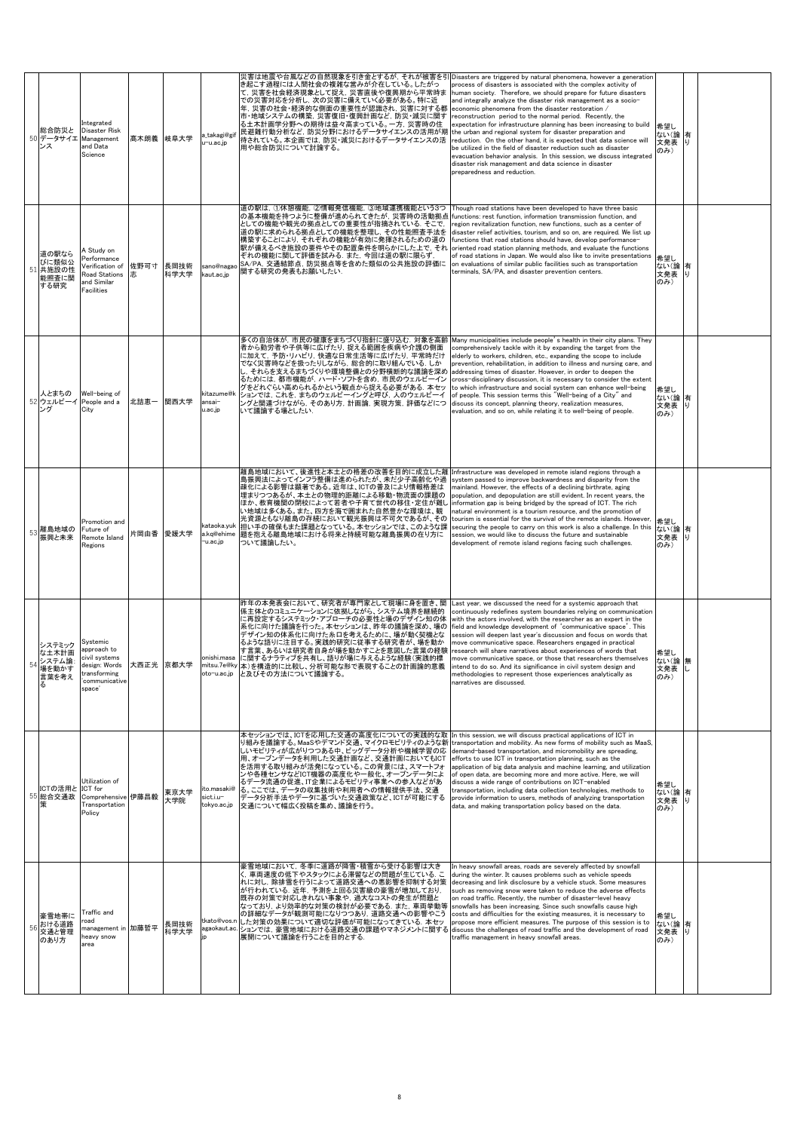|    | 総合防災と<br>50 データサイエ                               | Integrated<br>Disaster Risk<br>Management<br>and Data<br>Science                                      | 髙木朗義 岐阜大学 |              | takagi@gif<br>u−u.ac.jp                | 災害は地震や台風などの自然現象を引き金とするが, それが被害を引<br>き起こす過程には人間社会の複雑な営みが介在している。したがっ<br>て,災害を社会経済現象として捉え,災害直後や復興期から平常時ま<br>での災害対応を分析し,次の災害に備えていく必要がある。特に近<br>年, 災害の社会・経済的な側面の重要性が認識され, 災害に対する都<br>市・地域システムの構築, 災害復旧・復興計画など, 防災・減災に関す<br>る土木計画学分野への期待は益々高まっている。一方, 災害時の住<br>民避難行動分析など、防災分野におけるデータサイエンスの活用が期<br>待されている。本企画では,防災・減災におけるデータサイエンスの活<br>用や総合防災について討論する。                                                                                                   | Disasters are triggered by natural phenomena, however a generatior<br>process of disasters is associated with the complex activity of<br>human society. Therefore, we should prepare for future disasters<br>and integrally analyze the disaster risk management as a socio-<br>economic phenomena from the disaster restoration /<br>reconstruction period to the normal period. Recently, the<br>expectation for infrastructure planning has been increasing to build<br>the urban and regional system for disaster preparation and<br>reduction. On the other hand, it is expected that data science will<br>be utilized in the field of disaster reduction such as disaster<br>evacuation behavior analysis. In this session, we discuss integrated<br>disaster risk management and data science in disaster<br>preparedness and reduction. | 希望し<br>ない(論<br>文発表 り<br>のみ)  | 有        |  |
|----|--------------------------------------------------|-------------------------------------------------------------------------------------------------------|-----------|--------------|----------------------------------------|---------------------------------------------------------------------------------------------------------------------------------------------------------------------------------------------------------------------------------------------------------------------------------------------------------------------------------------------------------------------------------------------------------------------------------------------------|-------------------------------------------------------------------------------------------------------------------------------------------------------------------------------------------------------------------------------------------------------------------------------------------------------------------------------------------------------------------------------------------------------------------------------------------------------------------------------------------------------------------------------------------------------------------------------------------------------------------------------------------------------------------------------------------------------------------------------------------------------------------------------------------------------------------------------------------------|------------------------------|----------|--|
| 51 | 道の駅なら<br>びに類似公<br>共施設の性<br>能照査に関<br>する研究         | A Study on<br>Performance<br>Verification of<br><b>Road Stations</b><br>and Similar<br>Facilities     | 佐野可寸<br>志 | 長岡技術<br>科学大学 | sano@nagao<br>kaut.ac.jp               | 道の駅は,①休憩機能,②情報発信機能,③地域連携機能という3つ<br>の基本機能を持つように整備が進められてきたが,災害時の活動拠点<br>としての機能や観光の拠点としての重要性が指摘されている。そこで、<br>道の駅に求められる拠点としての機能を整理し、その性能照査手法を<br>構築することにより、それぞれの機能が有効に発揮されるための道の<br>駅が備えるべき施設の要件やその配置条件を明らかにした上で、それ<br>ぞれの機能に関して評価を試みる.また,今回は道の駅に限らず,<br>SA/PA, 交通結節点, 防災拠点等を含めた類似の公共施設の評価に<br>関する研究の発表もお願いしたい.                                                                                                                                       | Though road stations have been developed to have three basic<br>unctions: rest function, information transmission function, and<br>egion revitalization function, new functions, such as a center of<br>disaster relief activities, tourism, and so on, are required. We list up<br>functions that road stations should have, develop performance-<br>oriented road station planning methods, and evaluate the functions<br>of road stations in Japan. We would also like to invite presentations<br>on evaluations of similar public facilities such as transportation<br>terminals, SA/PA, and disaster prevention centers.                                                                                                                                                                                                                   | 希望し<br>ない(論 有<br>文発表<br>のみ)  | IJ       |  |
| 52 | 人とまちの<br>ウェルビーイ<br>ング                            | Well-being of<br>People and a<br>City                                                                 | 北詰恵一      | 関西大学         | kitazume@k<br>ansai-<br>u.ac.jp        | 多くの自治体が、市民の健康をまちづくり指針に盛り込む、対象を高齢<br>者から勤労者や子供等に広げたり、捉える範囲を疾病や介護の側面<br>に加えて,予防・リハビリ,快適な日常生活等に広げたり,平常時だけ<br>でなく災害時などを扱ったりしながら、総合的に取り組んでいる. しか<br>⊃, それらを支えるまちづくりや環境整備との分野横断的な議論を深め<br>るためには,都市機能が, ハード・ソフトを含め, 市民のウェルビーイン<br>グをどれぐらい高められるかという観点から捉える必要がある. 本セッ<br>ションでは、これを、まちのウェルビーイングと呼び、人のウェルビーイ<br>ングと関連づけながら,そのあり方,計画論, 実現方策, 評価などにつ<br>いて議論する場としたい.                                                                                           | Many municipalities include people's health in their city plans. They<br>comprehensively tackle with it by expanding the target from the<br>elderly to workers, children, etc., expanding the scope to include<br>prevention, rehabilitation, in addition to illness and nursing care, and<br>addressing times of disaster. However, in order to deepen the<br>cross-disciplinary discussion, it is necessary to consider the extent<br>to which infrastructure and social system can enhance well-being<br>of people. This session terms this "Well-being of a City" and<br>discuss its concept, planning theory, realization measures,<br>evaluation, and so on, while relating it to well-being of people.                                                                                                                                   | 希望し<br>ない(論<br>文発表 り<br>のみ)  | 有        |  |
| 53 | 離島地域の<br>振興と未来                                   | Promotion and<br>Future of<br>Remote Island<br>Regions                                                |           | 片岡由香 愛媛大学    | kataoka.yuk<br>a.kq@ehime<br>u.ac.jp-  | 離島地域において、後進性と本土との格差の改善を目的に成立した離<br>島振興法によってインフラ整備は進められたが、未だ少子高齢化や過<br>疎化による影響は顕著である。近年は、ICTの普及により情報格差は<br>埋まりつつあるが、本土との物理的距離による移動・物流面の課題の<br>ほか、教育機関の閉校によって若者や子育て世代の移住・定住が難し<br>い地域は多くある。また、四方を海で囲まれた自然豊かな環境は、観<br>光資源ともなり離島の存続において観光振興は不可欠であるが、その<br>担い手の確保もまた課題となっている。本セッションでは、このような課<br>題を抱える離島地域における将来と持続可能な離島振興の在り方に<br>ついて議論したい。                                                                                                            | Infrastructure was developed in remote island regions through a<br>system passed to improve backwardness and disparity from the<br>mainland. However, the effects of a declining birthrate, aging<br>population, and depopulation are still evident. In recent years, the<br>information gap is being bridged by the spread of ICT. The rich<br>natural environment is a tourism resource, and the promotion of<br>tourism is essential for the survival of the remote islands. However,<br>securing the people to carry on this work is also a challenge. In this<br>session, we would like to discuss the future and sustainable<br>development of remote island regions facing such challenges.                                                                                                                                              | 希望し<br>ない(論<br>文発表 り<br>のみ)  | 有        |  |
| 54 | システミック<br>な土木計画<br>システム論:<br>場を動かす<br>言葉を考え<br>る | Systemic<br>approach to<br>civil systems<br>design: Words<br>transforming<br>'communicative<br>space' | 大西正光 京都大学 |              | oto-u.ac.jp                            | 昨年の本発表会において、研究者が専門家として現場に身を置き、関<br>係主体とのコミュニケーションに依拠しながら、システム境界を継続的<br>こ再設定するシステミック・アプローチの必要性と場のデザイン知の体<br>系化に向けた議論を行った。本セッションは、昨年の議論を深め、場の<br>デザイン知の体系化に向けた糸口を考えるために、場が動く契機とな<br>るような語りに注目する。実践的研究に従事する研究者が、場を動か<br>す言葉、あるいは研究者自身が場を動かすことを意図した言葉の経験<br>onishi.masa に関するナラティブを共有し、語りが場に与えるような経験(実践的標<br>mitsu.7e@ky 本)を構造的に比較し、分析可能な形で表現することの計画論的意義<br>と及びその方法について議論する。                                                                           | Last year, we discussed the need for a systemic approach that<br>continuously redefines system boundaries relying on communication<br>with the actors involved, with the researcher as an expert in the<br>field and knowledge development of 'communicative space'. This<br>session will deepen last year's discussion and focus on words that<br>move communicative space. Researchers engaged in practical<br>research will share narratives about experiences of words that<br>move communicative space, or those that researchers themselves<br>intend to do so. And its significance in civil system design and<br>methodologies to represent those experiences analytically as<br>narratives are discussed.                                                                                                                              | 希望し<br>ない(論無<br>文発表 し<br>のみ) |          |  |
|    | ICTの活用と ICT for<br>55 総合交通政                      | Utilization of<br>Comprehensive<br>Transportation<br>Policy                                           | 伊藤昌毅      | 東京大学<br>大学院  | to masaki@<br>sict.i.u-<br>tokyo.ac.jp | 本セッションでは、ICTを応用した交通の高度化についての実践的な取<br>り組みを議論する。MaaSやデマンド交通、マイクロモビリティのような新<br>しいモビリティが広がりつつある中、ビッグデータ分析や機械学習の応<br>用、オープンデータを利用した交通計画など、交通計画においてもICT<br>を活用する取り組みが活発になっている。この背景には、スマートフォ<br>ンや各種センサなどICT機器の高度化や一般化、オープンデータによ<br>るデータ流通の促進、IT企業によるモビリティ事業への参入などがあ<br>る。ここでは、データの収集技術や利用者への情報提供手法、交通<br>データ分析手法やデータに基づいた交通政策など、ICTが可能にする<br> 交通について幅広く投稿を集め、議論を行う。                                                                                     | In this session, we will discuss practical applications of ICT in<br>transportation and mobility. As new forms of mobility such as MaaS,<br>demand-based transportation, and micromobility are spreading,<br>efforts to use ICT in transportation planning, such as the<br>application of big data analysis and machine learning, and utilization<br>of open data, are becoming more and more active. Here, we will<br>discuss a wide range of contributions on ICT-enabled<br>transportation, including data collection technologies, methods to<br>provide information to users, methods of analyzing transportation<br>data, and making transportation policy based on the data.                                                                                                                                                             | 希望し<br>ない(論<br>文発表<br>のみ)    | 有<br>IJ  |  |
| 56 | 豪雪地帯に<br>おける道路<br>交通と管理<br>のあり方                  | Traffic and<br>oad·<br>management in 加藤哲平<br>heavy snow<br>area                                       |           | 長岡技術<br>科学大学 |                                        | 豪雪地域において,冬季に道路が降雪・積雪から受ける影響は大き<br>く,車両速度の低下やスタックによる滞留などの問題が生じている. こ<br>れに対し、除排雪を行うによって道路交通への悪影響を抑制する対策<br>が行われている.近年、予測を上回る災害級の豪雪が増加しており、<br>既存の対策で対応しきれない事象や、過大なコストの発生が問題と<br>なっており, より効率的な対策の検討が必要である. また, 車両挙動等<br>の詳細なデータが観測可能になりつつあり、道路交通への影響やこう<br>tkato@vos.n した対策の効果について適切な評価が可能になってきている. 本セッ<br>agaokaut.ac. ションでは、豪雪地域における道路交通の課題やマネジメントに関する discuss the challenges of road traffic and the development of road<br>展開について議論を行うことを目的とする. | n heavy snowfall areas, roads are severely affected by snowfall<br>during the winter. It causes problems such as vehicle speeds<br>decreasing and link disclosure by a vehicle stuck. Some measures<br>such as removing snow were taken to reduce the adverse effects<br>on road traffic. Recently, the number of disaster-level heavy<br>snowfalls has been increasing. Since such snowfalls cause high<br>costs and difficulties for the existing measures, it is necessary to<br>propose more efficient measures. The purpose of this session is to<br>raffic management in heavy snowfall areas.                                                                                                                                                                                                                                            | 希望し<br>ない(論<br>文発表<br>のみ)    | 有<br>ΙIJ |  |